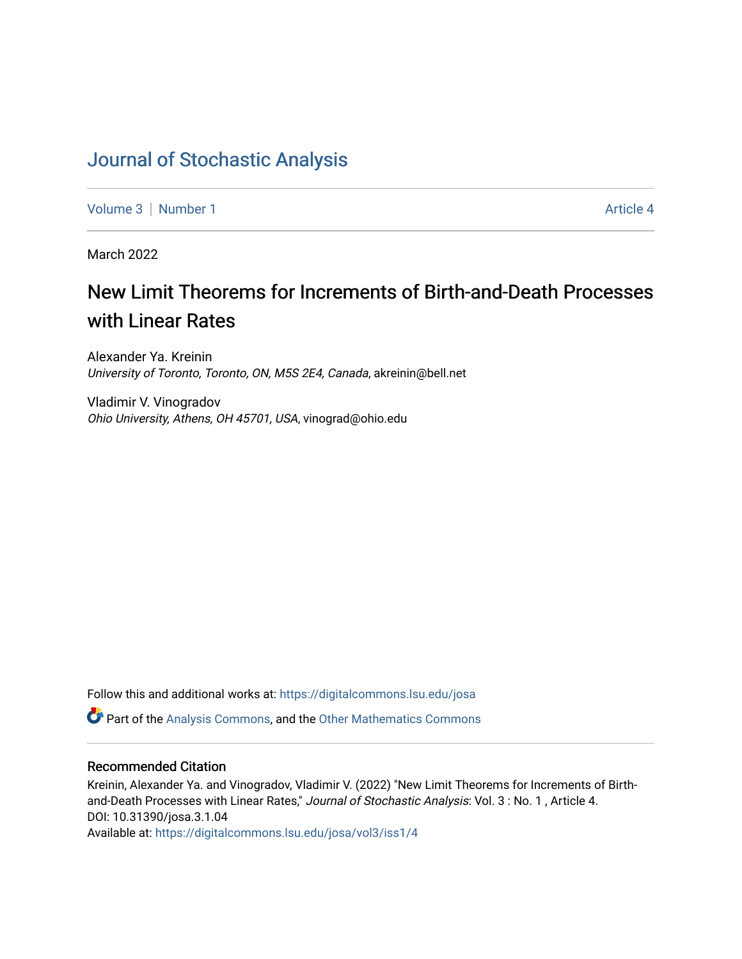## [Journal of Stochastic Analysis](https://digitalcommons.lsu.edu/josa)

[Volume 3](https://digitalcommons.lsu.edu/josa/vol3) | [Number 1](https://digitalcommons.lsu.edu/josa/vol3/iss1) Article 4

March 2022

# New Limit Theorems for Increments of Birth-and-Death Processes with Linear Rates

Alexander Ya. Kreinin University of Toronto, Toronto, ON, M5S 2E4, Canada, akreinin@bell.net

Vladimir V. Vinogradov Ohio University, Athens, OH 45701, USA, vinograd@ohio.edu

Follow this and additional works at: [https://digitalcommons.lsu.edu/josa](https://digitalcommons.lsu.edu/josa?utm_source=digitalcommons.lsu.edu%2Fjosa%2Fvol3%2Fiss1%2F4&utm_medium=PDF&utm_campaign=PDFCoverPages) 

**Part of the [Analysis Commons](http://network.bepress.com/hgg/discipline/177?utm_source=digitalcommons.lsu.edu%2Fjosa%2Fvol3%2Fiss1%2F4&utm_medium=PDF&utm_campaign=PDFCoverPages), and the [Other Mathematics Commons](http://network.bepress.com/hgg/discipline/185?utm_source=digitalcommons.lsu.edu%2Fjosa%2Fvol3%2Fiss1%2F4&utm_medium=PDF&utm_campaign=PDFCoverPages)** 

## Recommended Citation

Kreinin, Alexander Ya. and Vinogradov, Vladimir V. (2022) "New Limit Theorems for Increments of Birthand-Death Processes with Linear Rates," Journal of Stochastic Analysis: Vol. 3: No. 1, Article 4. DOI: 10.31390/josa.3.1.04

Available at: [https://digitalcommons.lsu.edu/josa/vol3/iss1/4](https://digitalcommons.lsu.edu/josa/vol3/iss1/4?utm_source=digitalcommons.lsu.edu%2Fjosa%2Fvol3%2Fiss1%2F4&utm_medium=PDF&utm_campaign=PDFCoverPages)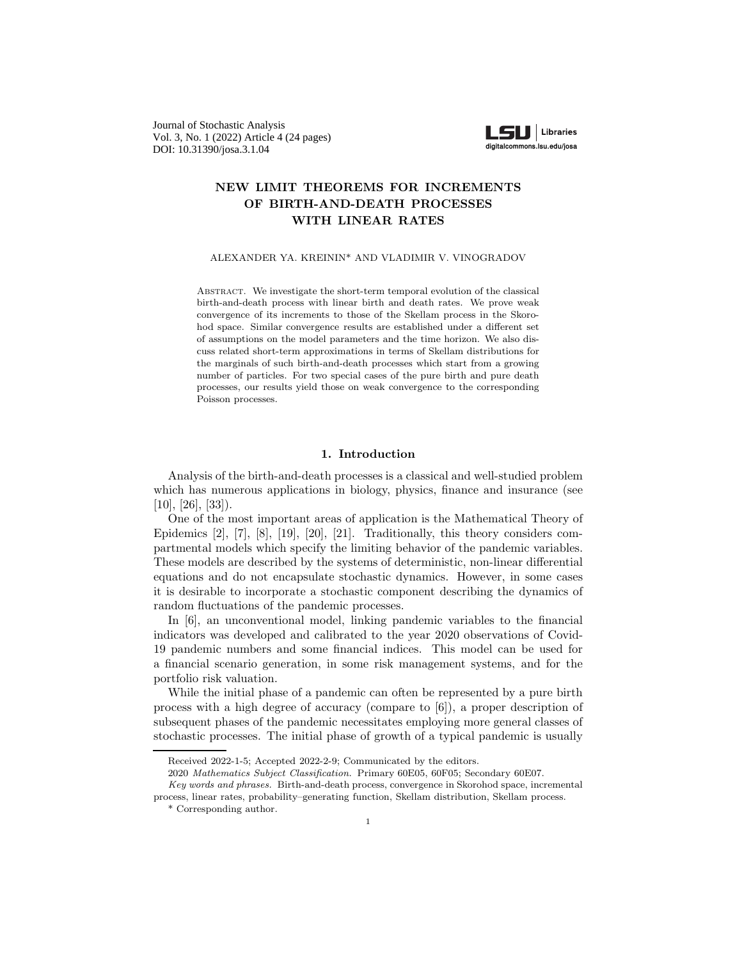Journal of Stochastic Analysis Vol. 3, No. 1 (2022) Article 4 (24 pages) DOI: 10.31390/josa.3.1.04



## NEW LIMIT THEOREMS FOR INCREMENTS OF BIRTH-AND-DEATH PROCESSES WITH LINEAR RATES

#### ALEXANDER YA. KREININ\* AND VLADIMIR V. VINOGRADOV

Abstract. We investigate the short-term temporal evolution of the classical birth-and-death process with linear birth and death rates. We prove weak convergence of its increments to those of the Skellam process in the Skorohod space. Similar convergence results are established under a different set of assumptions on the model parameters and the time horizon. We also discuss related short-term approximations in terms of Skellam distributions for the marginals of such birth-and-death processes which start from a growing number of particles. For two special cases of the pure birth and pure death processes, our results yield those on weak convergence to the corresponding Poisson processes.

#### 1. Introduction

Analysis of the birth-and-death processes is a classical and well-studied problem which has numerous applications in biology, physics, finance and insurance (see  $[10]$ ,  $[26]$ ,  $[33]$ ).

One of the most important areas of application is the Mathematical Theory of Epidemics [2], [7], [8], [19], [20], [21]. Traditionally, this theory considers compartmental models which specify the limiting behavior of the pandemic variables. These models are described by the systems of deterministic, non-linear differential equations and do not encapsulate stochastic dynamics. However, in some cases it is desirable to incorporate a stochastic component describing the dynamics of random fluctuations of the pandemic processes.

In [6], an unconventional model, linking pandemic variables to the financial indicators was developed and calibrated to the year 2020 observations of Covid-19 pandemic numbers and some financial indices. This model can be used for a financial scenario generation, in some risk management systems, and for the portfolio risk valuation.

While the initial phase of a pandemic can often be represented by a pure birth process with a high degree of accuracy (compare to [6]), a proper description of subsequent phases of the pandemic necessitates employing more general classes of stochastic processes. The initial phase of growth of a typical pandemic is usually

Received 2022-1-5; Accepted 2022-2-9; Communicated by the editors.

<sup>2020</sup> Mathematics Subject Classification. Primary 60E05, 60F05; Secondary 60E07.

Key words and phrases. Birth-and-death process, convergence in Skorohod space, incremental process, linear rates, probability–generating function, Skellam distribution, Skellam process.

<sup>\*</sup> Corresponding author.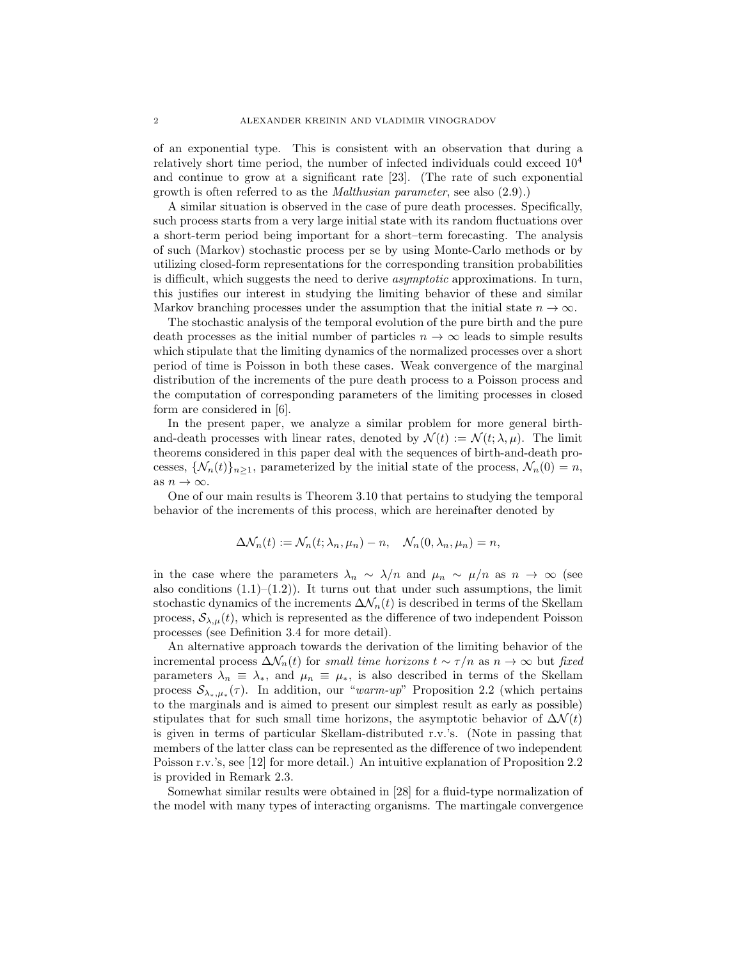of an exponential type. This is consistent with an observation that during a relatively short time period, the number of infected individuals could exceed 10<sup>4</sup> and continue to grow at a significant rate [23]. (The rate of such exponential growth is often referred to as the Malthusian parameter, see also (2.9).)

A similar situation is observed in the case of pure death processes. Specifically, such process starts from a very large initial state with its random fluctuations over a short-term period being important for a short–term forecasting. The analysis of such (Markov) stochastic process per se by using Monte-Carlo methods or by utilizing closed-form representations for the corresponding transition probabilities is difficult, which suggests the need to derive asymptotic approximations. In turn, this justifies our interest in studying the limiting behavior of these and similar Markov branching processes under the assumption that the initial state  $n \to \infty$ .

The stochastic analysis of the temporal evolution of the pure birth and the pure death processes as the initial number of particles  $n \to \infty$  leads to simple results which stipulate that the limiting dynamics of the normalized processes over a short period of time is Poisson in both these cases. Weak convergence of the marginal distribution of the increments of the pure death process to a Poisson process and the computation of corresponding parameters of the limiting processes in closed form are considered in [6].

In the present paper, we analyze a similar problem for more general birthand-death processes with linear rates, denoted by  $\mathcal{N}(t) := \mathcal{N}(t; \lambda, \mu)$ . The limit theorems considered in this paper deal with the sequences of birth-and-death processes,  $\{\mathcal{N}_n(t)\}_{n>1}$ , parameterized by the initial state of the process,  $\mathcal{N}_n(0) = n$ , as  $n \to \infty$ .

One of our main results is Theorem 3.10 that pertains to studying the temporal behavior of the increments of this process, which are hereinafter denoted by

$$
\Delta \mathcal{N}_n(t) := \mathcal{N}_n(t; \lambda_n, \mu_n) - n, \quad \mathcal{N}_n(0, \lambda_n, \mu_n) = n,
$$

in the case where the parameters  $\lambda_n \sim \lambda/n$  and  $\mu_n \sim \mu/n$  as  $n \to \infty$  (see also conditions  $(1.1)$ – $(1.2)$ ). It turns out that under such assumptions, the limit stochastic dynamics of the increments  $\Delta \mathcal{N}_n(t)$  is described in terms of the Skellam process,  $\mathcal{S}_{\lambda,\mu}(t)$ , which is represented as the difference of two independent Poisson processes (see Definition 3.4 for more detail).

An alternative approach towards the derivation of the limiting behavior of the incremental process  $\Delta \mathcal{N}_n(t)$  for small time horizons  $t \sim \tau/n$  as  $n \to \infty$  but fixed parameters  $\lambda_n \equiv \lambda_*$ , and  $\mu_n \equiv \mu_*$ , is also described in terms of the Skellam process  $S_{\lambda_*,\mu_*}(\tau)$ . In addition, our "warm-up" Proposition 2.2 (which pertains to the marginals and is aimed to present our simplest result as early as possible) stipulates that for such small time horizons, the asymptotic behavior of  $\Delta \mathcal{N}(t)$ is given in terms of particular Skellam-distributed r.v.'s. (Note in passing that members of the latter class can be represented as the difference of two independent Poisson r.v.'s, see [12] for more detail.) An intuitive explanation of Proposition 2.2 is provided in Remark 2.3.

Somewhat similar results were obtained in [28] for a fluid-type normalization of the model with many types of interacting organisms. The martingale convergence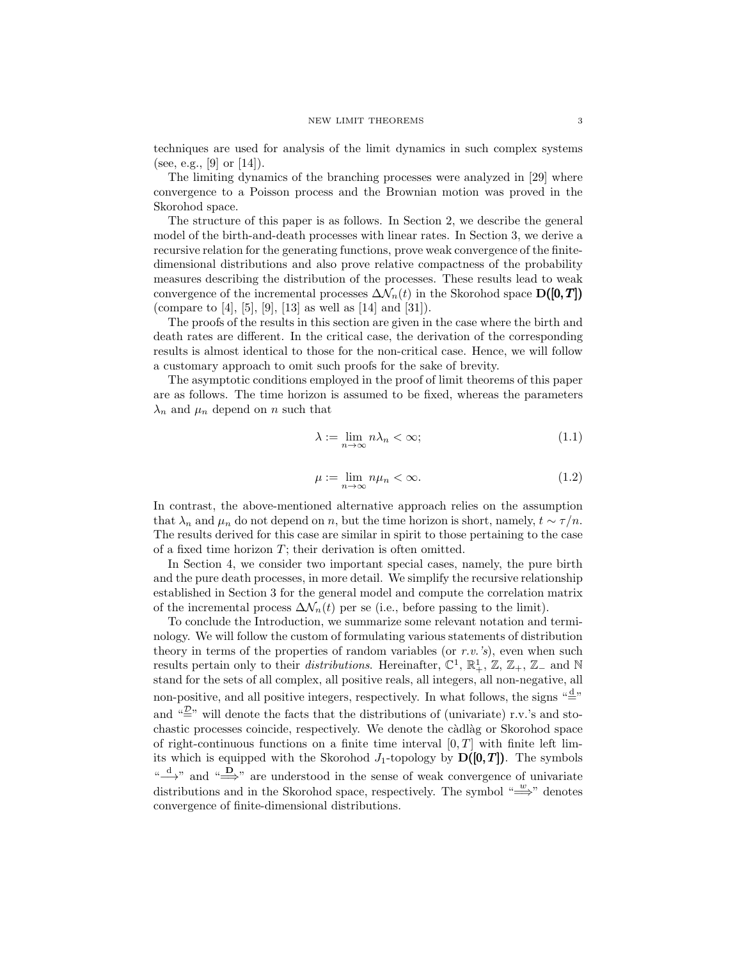techniques are used for analysis of the limit dynamics in such complex systems (see, e.g., [9] or  $[14]$ ).

The limiting dynamics of the branching processes were analyzed in [29] where convergence to a Poisson process and the Brownian motion was proved in the Skorohod space.

The structure of this paper is as follows. In Section 2, we describe the general model of the birth-and-death processes with linear rates. In Section 3, we derive a recursive relation for the generating functions, prove weak convergence of the finitedimensional distributions and also prove relative compactness of the probability measures describing the distribution of the processes. These results lead to weak convergence of the incremental processes  $\Delta \mathcal{N}_n(t)$  in the Skorohod space  $D([0, T])$ (compare to [4], [5], [9], [13] as well as [14] and [31]).

The proofs of the results in this section are given in the case where the birth and death rates are different. In the critical case, the derivation of the corresponding results is almost identical to those for the non-critical case. Hence, we will follow a customary approach to omit such proofs for the sake of brevity.

The asymptotic conditions employed in the proof of limit theorems of this paper are as follows. The time horizon is assumed to be fixed, whereas the parameters  $\lambda_n$  and  $\mu_n$  depend on n such that

$$
\lambda := \lim_{n \to \infty} n \lambda_n < \infty; \tag{1.1}
$$

$$
\mu := \lim_{n \to \infty} n\mu_n < \infty. \tag{1.2}
$$

In contrast, the above-mentioned alternative approach relies on the assumption that  $\lambda_n$  and  $\mu_n$  do not depend on n, but the time horizon is short, namely,  $t \sim \tau/n$ . The results derived for this case are similar in spirit to those pertaining to the case of a fixed time horizon  $T$ ; their derivation is often omitted.

In Section 4, we consider two important special cases, namely, the pure birth and the pure death processes, in more detail. We simplify the recursive relationship established in Section 3 for the general model and compute the correlation matrix of the incremental process  $\Delta \mathcal{N}_n(t)$  per se (i.e., before passing to the limit).

To conclude the Introduction, we summarize some relevant notation and terminology. We will follow the custom of formulating various statements of distribution theory in terms of the properties of random variables (or  $r.v.'s$ ), even when such results pertain only to their *distributions*. Hereinafter,  $\mathbb{C}^1$ ,  $\mathbb{R}^1_+$ ,  $\mathbb{Z}$ ,  $\mathbb{Z}_+$ ,  $\mathbb{Z}_-$  and  $\mathbb N$ stand for the sets of all complex, all positive reals, all integers, all non-negative, all non-positive, and all positive integers, respectively. In what follows, the signs " $\stackrel{d}{=}$ " and " $\stackrel{p}{=}$ " will denote the facts that the distributions of (univariate) r.v.'s and stochastic processes coincide, respectively. We denote the càdlàg or Skorohod space of right-continuous functions on a finite time interval  $[0, T]$  with finite left limits which is equipped with the Skorohod  $J_1$ -topology by  $D([0, T])$ . The symbols  $\stackrel{d}{\longrightarrow}$ " and  $\stackrel{d}{\Longrightarrow}$ " are understood in the sense of weak convergence of univariate distributions and in the Skorohod space, respectively. The symbol " $\stackrel{w}{\Longrightarrow}$ " denotes convergence of finite-dimensional distributions.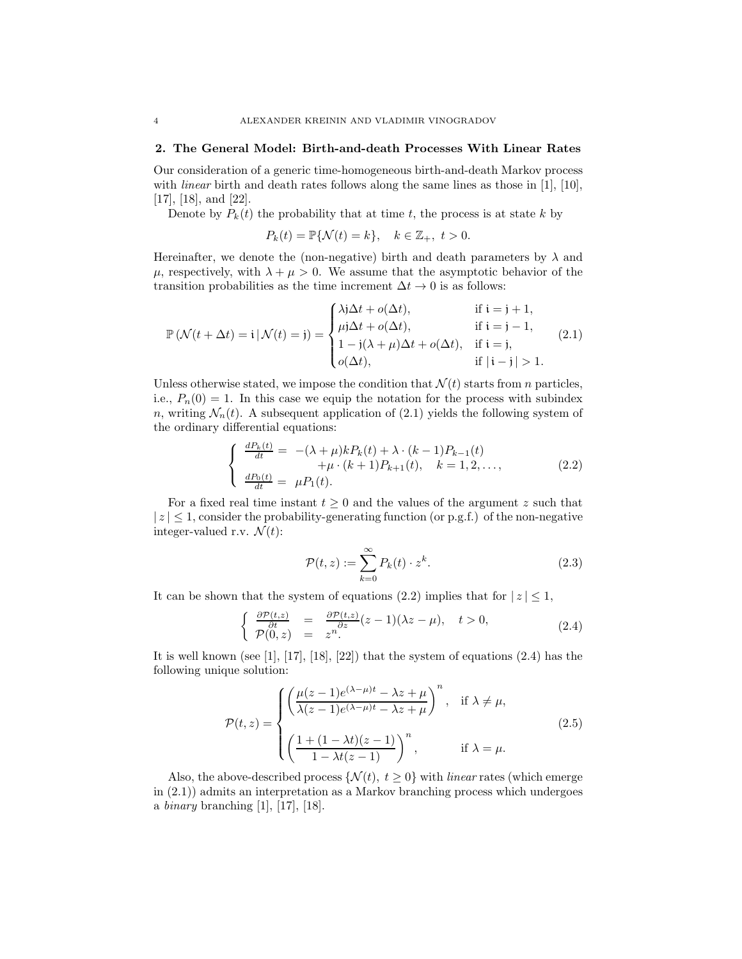#### 2. The General Model: Birth-and-death Processes With Linear Rates

Our consideration of a generic time-homogeneous birth-and-death Markov process with *linear* birth and death rates follows along the same lines as those in [1], [10], [17], [18], and [22].

Denote by  $P_k(t)$  the probability that at time t, the process is at state k by

$$
P_k(t) = \mathbb{P}\{\mathcal{N}(t) = k\}, \quad k \in \mathbb{Z}_+, \ t > 0.
$$

Hereinafter, we denote the (non-negative) birth and death parameters by  $\lambda$  and  $\mu$ , respectively, with  $\lambda + \mu > 0$ . We assume that the asymptotic behavior of the transition probabilities as the time increment  $\Delta t \to 0$  is as follows:

$$
\mathbb{P}\left(\mathcal{N}(t+\Delta t)=\mathfrak{i}\,|\,\mathcal{N}(t)=\mathfrak{j}\right)=\begin{cases} \lambda\mathfrak{j}\Delta t+o(\Delta t), & \text{if } \mathfrak{i}=\mathfrak{j}+1, \\ \mu\mathfrak{j}\Delta t+o(\Delta t), & \text{if } \mathfrak{i}=\mathfrak{j}-1, \\ 1-\mathfrak{j}(\lambda+\mu)\Delta t+o(\Delta t), & \text{if } \mathfrak{i}=\mathfrak{j}, \\ o(\Delta t), & \text{if } |\mathfrak{i}-\mathfrak{j}|>1. \end{cases} (2.1)
$$

Unless otherwise stated, we impose the condition that  $\mathcal{N}(t)$  starts from *n* particles, i.e.,  $P_n(0) = 1$ . In this case we equip the notation for the process with subindex n, writing  $\mathcal{N}_n(t)$ . A subsequent application of (2.1) yields the following system of the ordinary differential equations:

$$
\begin{cases}\n\frac{dP_k(t)}{dt} = -(\lambda + \mu)kP_k(t) + \lambda \cdot (k-1)P_{k-1}(t) \\
+ \mu \cdot (k+1)P_{k+1}(t), \quad k = 1, 2, ..., \\
\frac{dP_0(t)}{dt} = \mu P_1(t).\n\end{cases}
$$
\n(2.2)

For a fixed real time instant  $t \geq 0$  and the values of the argument z such that  $|z| \leq 1$ , consider the probability-generating function (or p.g.f.) of the non-negative integer-valued r.v.  $\mathcal{N}(t)$ :

$$
\mathcal{P}(t,z) := \sum_{k=0}^{\infty} P_k(t) \cdot z^k.
$$
\n(2.3)

It can be shown that the system of equations (2.2) implies that for  $|z| \leq 1$ ,

$$
\begin{cases}\n\frac{\partial \mathcal{P}(t,z)}{\partial t} = \frac{\partial \mathcal{P}(t,z)}{\partial z}(z-1)(\lambda z - \mu), \quad t > 0, \\
\mathcal{P}(0,z) = z^n.\n\end{cases} \tag{2.4}
$$

It is well known (see [1], [17], [18], [22]) that the system of equations  $(2.4)$  has the following unique solution:

$$
\mathcal{P}(t,z) = \begin{cases} \left(\frac{\mu(z-1)e^{(\lambda-\mu)t} - \lambda z + \mu}{\lambda(z-1)e^{(\lambda-\mu)t} - \lambda z + \mu}\right)^n, & \text{if } \lambda \neq \mu, \\ \left(\frac{1 + (1 - \lambda t)(z - 1)}{1 - \lambda t(z - 1)}\right)^n, & \text{if } \lambda = \mu. \end{cases}
$$
\n
$$
(2.5)
$$

Also, the above-described process  $\{N(t), t \geq 0\}$  with *linear* rates (which emerge in  $(2.1)$ ) admits an interpretation as a Markov branching process which undergoes a *binary* branching  $[1]$ ,  $[17]$ ,  $[18]$ .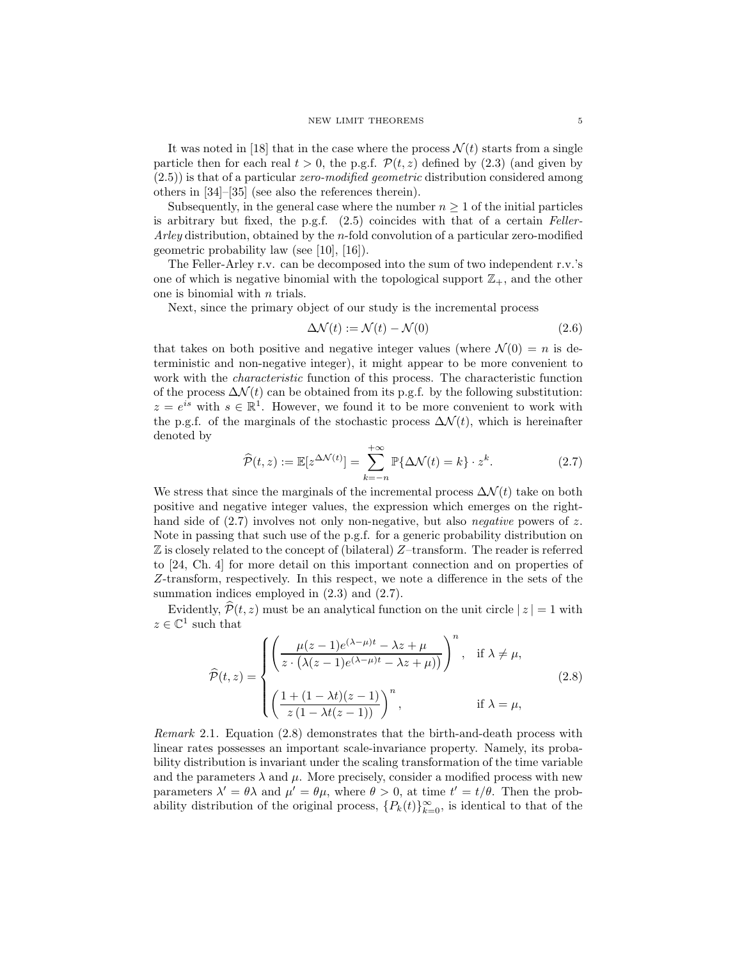It was noted in [18] that in the case where the process  $\mathcal{N}(t)$  starts from a single particle then for each real  $t > 0$ , the p.g.f.  $\mathcal{P}(t, z)$  defined by (2.3) (and given by  $(2.5)$ ) is that of a particular *zero-modified geometric* distribution considered among others in [34]–[35] (see also the references therein).

Subsequently, in the general case where the number  $n \geq 1$  of the initial particles is arbitrary but fixed, the p.g.f. (2.5) coincides with that of a certain Feller-*Arley* distribution, obtained by the *n*-fold convolution of a particular zero-modified geometric probability law (see [10], [16]).

The Feller-Arley r.v. can be decomposed into the sum of two independent r.v.'s one of which is negative binomial with the topological support  $\mathbb{Z}_+$ , and the other one is binomial with  $n$  trials.

Next, since the primary object of our study is the incremental process

$$
\Delta \mathcal{N}(t) := \mathcal{N}(t) - \mathcal{N}(0) \tag{2.6}
$$

that takes on both positive and negative integer values (where  $\mathcal{N}(0) = n$  is deterministic and non-negative integer), it might appear to be more convenient to work with the characteristic function of this process. The characteristic function of the process  $\Delta \mathcal{N}(t)$  can be obtained from its p.g.f. by the following substitution:  $z = e^{is}$  with  $s \in \mathbb{R}^1$ . However, we found it to be more convenient to work with the p.g.f. of the marginals of the stochastic process  $\Delta \mathcal{N}(t)$ , which is hereinafter denoted by

$$
\widehat{\mathcal{P}}(t,z) := \mathbb{E}[z^{\Delta \mathcal{N}(t)}] = \sum_{k=-n}^{+\infty} \mathbb{P}\{\Delta \mathcal{N}(t) = k\} \cdot z^k.
$$
 (2.7)

We stress that since the marginals of the incremental process  $\Delta \mathcal{N}(t)$  take on both positive and negative integer values, the expression which emerges on the righthand side of  $(2.7)$  involves not only non-negative, but also *negative* powers of z. Note in passing that such use of the p.g.f. for a generic probability distribution on  $\mathbb Z$  is closely related to the concept of (bilateral) Z-transform. The reader is referred to [24, Ch. 4] for more detail on this important connection and on properties of Z-transform, respectively. In this respect, we note a difference in the sets of the summation indices employed in (2.3) and (2.7).

Evidently,  $\hat{\mathcal{P}}(t, z)$  must be an analytical function on the unit circle  $|z| = 1$  with  $z\in\mathbb{C}^1$  such that

$$
\widehat{\mathcal{P}}(t,z) = \begin{cases}\n\left(\frac{\mu(z-1)e^{(\lambda-\mu)t} - \lambda z + \mu}{z \cdot (\lambda(z-1)e^{(\lambda-\mu)t} - \lambda z + \mu)}\right)^n, & \text{if } \lambda \neq \mu, \\
\left(\frac{1 + (1 - \lambda t)(z - 1)}{z(1 - \lambda t(z - 1))}\right)^n, & \text{if } \lambda = \mu,\n\end{cases}
$$
\n(2.8)

Remark 2.1. Equation (2.8) demonstrates that the birth-and-death process with linear rates possesses an important scale-invariance property. Namely, its probability distribution is invariant under the scaling transformation of the time variable and the parameters  $\lambda$  and  $\mu$ . More precisely, consider a modified process with new parameters  $\lambda' = \theta \lambda$  and  $\mu' = \theta \mu$ , where  $\theta > 0$ , at time  $t' = t/\theta$ . Then the probability distribution of the original process,  $\{P_k(t)\}_{k=0}^{\infty}$ , is identical to that of the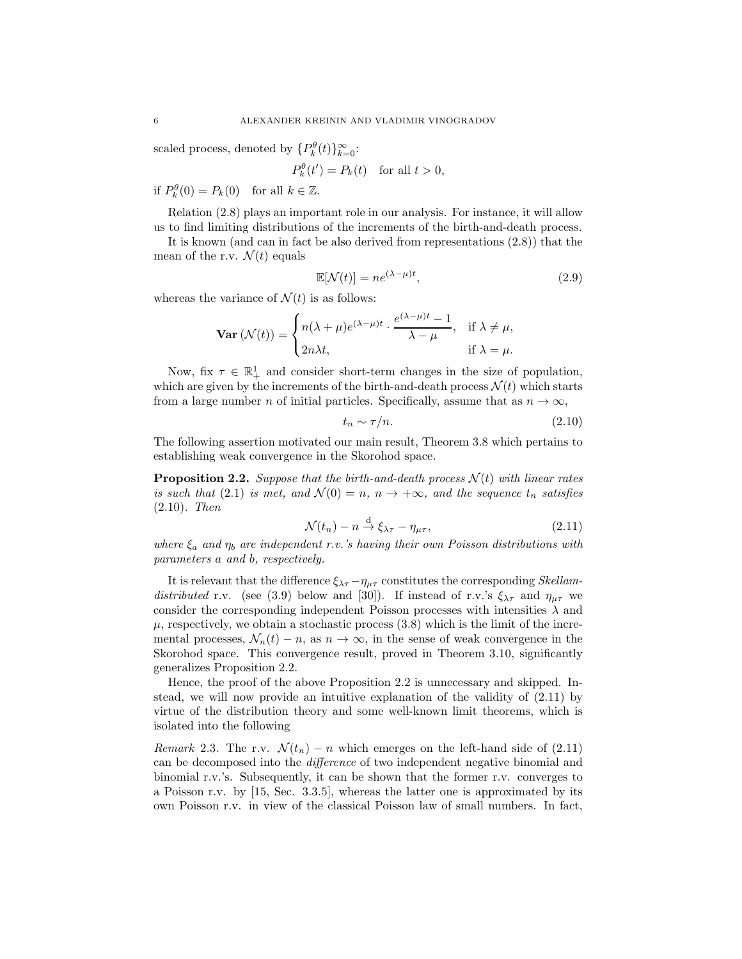scaled process, denoted by  $\{P_k^{\theta}(t)\}_{k=0}^{\infty}$ :

$$
P_k^{\theta}(t') = P_k(t) \quad \text{for all } t > 0,
$$

if  $P_k^{\theta}(0) = P_k(0)$  for all  $k \in \mathbb{Z}$ .

Relation (2.8) plays an important role in our analysis. For instance, it will allow us to find limiting distributions of the increments of the birth-and-death process.

It is known (and can in fact be also derived from representations (2.8)) that the mean of the r.v.  $\mathcal{N}(t)$  equals

$$
\mathbb{E}[\mathcal{N}(t)] = ne^{(\lambda - \mu)t},\tag{2.9}
$$

whereas the variance of  $\mathcal{N}(t)$  is as follows:

$$
\mathbf{Var}\left(\mathcal{N}(t)\right) = \begin{cases} n(\lambda + \mu)e^{(\lambda - \mu)t} \cdot \frac{e^{(\lambda - \mu)t} - 1}{\lambda - \mu}, & \text{if } \lambda \neq \mu, \\ 2n\lambda t, & \text{if } \lambda = \mu. \end{cases}
$$

Now, fix  $\tau \in \mathbb{R}^1_+$  and consider short-term changes in the size of population, which are given by the increments of the birth-and-death process  $\mathcal{N}(t)$  which starts from a large number n of initial particles. Specifically, assume that as  $n \to \infty$ ,

$$
t_n \sim \tau/n. \tag{2.10}
$$

The following assertion motivated our main result, Theorem 3.8 which pertains to establishing weak convergence in the Skorohod space.

**Proposition 2.2.** Suppose that the birth-and-death process  $\mathcal{N}(t)$  with linear rates is such that (2.1) is met, and  $\mathcal{N}(0) = n, n \to +\infty$ , and the sequence  $t_n$  satisfies (2.10). Then

$$
\mathcal{N}(t_n) - n \stackrel{\text{d}}{\rightarrow} \xi_{\lambda\tau} - \eta_{\mu\tau},\tag{2.11}
$$

where  $\xi_a$  and  $\eta_b$  are independent r.v.'s having their own Poisson distributions with parameters a and b, respectively.

It is relevant that the difference  $\xi_{\lambda\tau} - \eta_{\mu\tau}$  constitutes the corresponding *Skellam*distributed r.v. (see (3.9) below and [30]). If instead of r.v.'s  $\xi_{\lambda\tau}$  and  $\eta_{\mu\tau}$  we consider the corresponding independent Poisson processes with intensities  $\lambda$  and  $\mu$ , respectively, we obtain a stochastic process (3.8) which is the limit of the incremental processes,  $\mathcal{N}_n(t) - n$ , as  $n \to \infty$ , in the sense of weak convergence in the Skorohod space. This convergence result, proved in Theorem 3.10, significantly generalizes Proposition 2.2.

Hence, the proof of the above Proposition 2.2 is unnecessary and skipped. Instead, we will now provide an intuitive explanation of the validity of (2.11) by virtue of the distribution theory and some well-known limit theorems, which is isolated into the following

Remark 2.3. The r.v.  $\mathcal{N}(t_n) - n$  which emerges on the left-hand side of (2.11) can be decomposed into the difference of two independent negative binomial and binomial r.v.'s. Subsequently, it can be shown that the former r.v. converges to a Poisson r.v. by [15, Sec. 3.3.5], whereas the latter one is approximated by its own Poisson r.v. in view of the classical Poisson law of small numbers. In fact,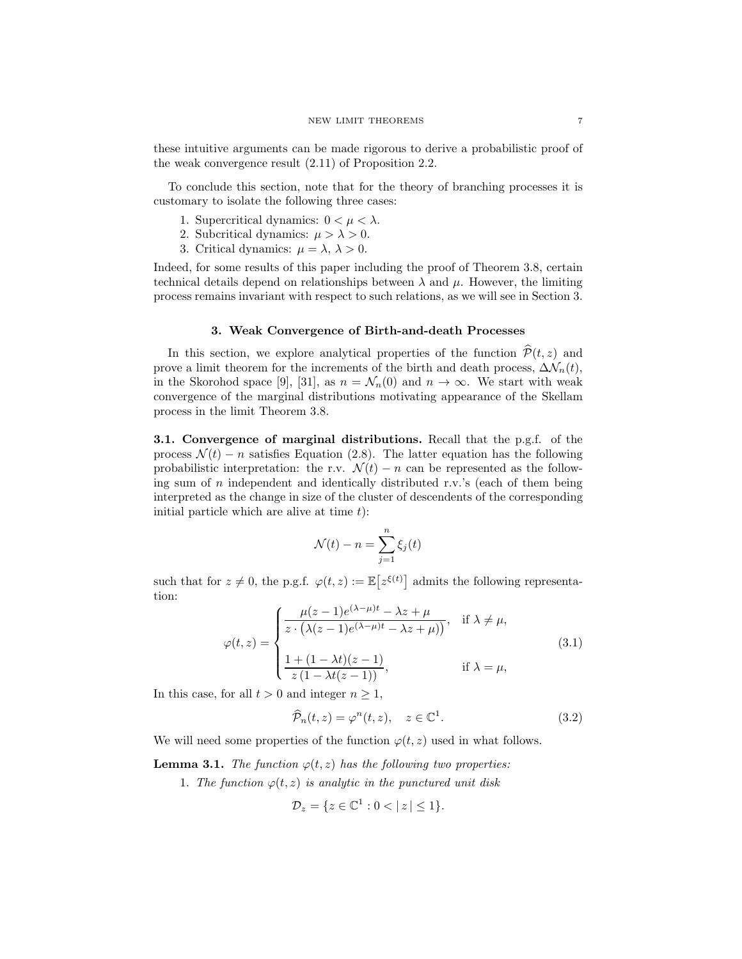these intuitive arguments can be made rigorous to derive a probabilistic proof of the weak convergence result (2.11) of Proposition 2.2.

To conclude this section, note that for the theory of branching processes it is customary to isolate the following three cases:

- 1. Supercritical dynamics:  $0 < \mu < \lambda$ .
- 2. Subcritical dynamics:  $\mu > \lambda > 0$ .
- 3. Critical dynamics:  $\mu = \lambda$ ,  $\lambda > 0$ .

Indeed, for some results of this paper including the proof of Theorem 3.8, certain technical details depend on relationships between  $\lambda$  and  $\mu$ . However, the limiting process remains invariant with respect to such relations, as we will see in Section 3.

#### 3. Weak Convergence of Birth-and-death Processes

In this section, we explore analytical properties of the function  $\hat{\mathcal{P}}(t, z)$  and prove a limit theorem for the increments of the birth and death process,  $\Delta \mathcal{N}_n(t)$ , in the Skorohod space [9], [31], as  $n = \mathcal{N}_n(0)$  and  $n \to \infty$ . We start with weak convergence of the marginal distributions motivating appearance of the Skellam process in the limit Theorem 3.8.

3.1. Convergence of marginal distributions. Recall that the p.g.f. of the process  $\mathcal{N}(t) - n$  satisfies Equation (2.8). The latter equation has the following probabilistic interpretation: the r.v.  $\mathcal{N}(t) - n$  can be represented as the following sum of  $n$  independent and identically distributed r.v.'s (each of them being interpreted as the change in size of the cluster of descendents of the corresponding initial particle which are alive at time  $t$ :

$$
\mathcal{N}(t) - n = \sum_{j=1}^{n} \xi_j(t)
$$

such that for  $z \neq 0$ , the p.g.f.  $\varphi(t, z) := \mathbb{E}[z^{\xi(t)}]$  admits the following representation:

$$
\varphi(t,z) = \begin{cases}\n\frac{\mu(z-1)e^{(\lambda-\mu)t} - \lambda z + \mu}{z \cdot (\lambda(z-1)e^{(\lambda-\mu)t} - \lambda z + \mu)}, & \text{if } \lambda \neq \mu, \\
\frac{1 + (1 - \lambda t)(z - 1)}{z(1 - \lambda t(z - 1))}, & \text{if } \lambda = \mu,\n\end{cases}
$$
\n(3.1)

In this case, for all  $t > 0$  and integer  $n \geq 1$ ,

$$
\widehat{\mathcal{P}}_n(t,z) = \varphi^n(t,z), \quad z \in \mathbb{C}^1. \tag{3.2}
$$

We will need some properties of the function  $\varphi(t, z)$  used in what follows.

**Lemma 3.1.** The function  $\varphi(t, z)$  has the following two properties:

1. The function  $\varphi(t, z)$  is analytic in the punctured unit disk

$$
\mathcal{D}_z = \{ z \in \mathbb{C}^1 : 0 < |z| \le 1 \}.
$$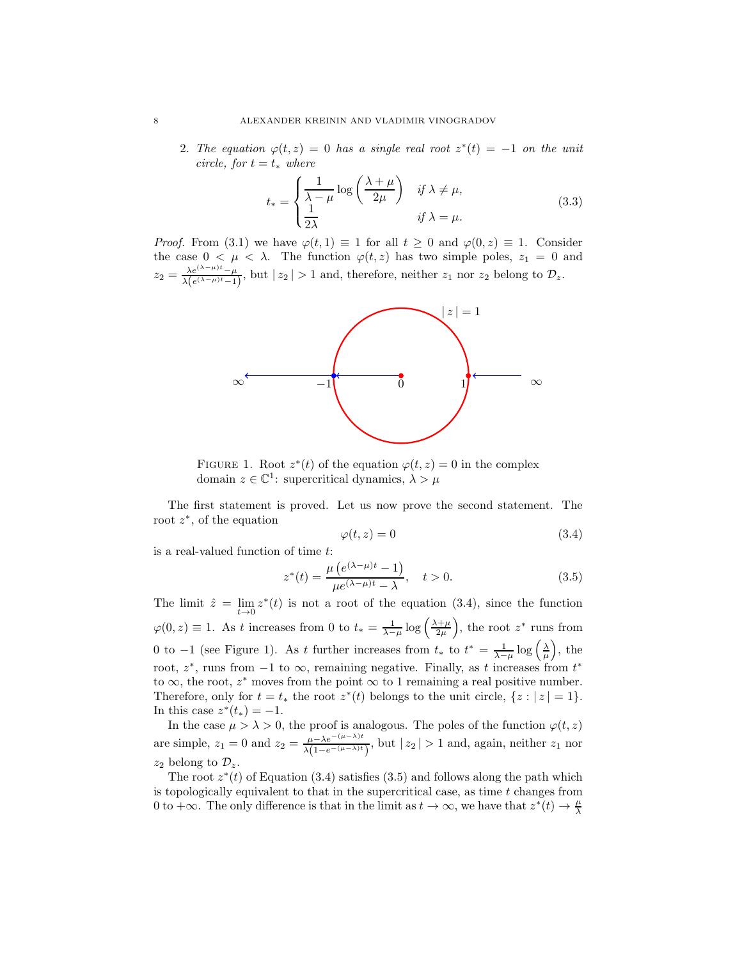2. The equation  $\varphi(t, z) = 0$  has a single real root  $z^*(t) = -1$  on the unit circle, for  $t = t_*$  where

$$
t_* = \begin{cases} \frac{1}{\lambda - \mu} \log \left( \frac{\lambda + \mu}{2\mu} \right) & \text{if } \lambda \neq \mu, \\ \frac{1}{2\lambda} & \text{if } \lambda = \mu. \end{cases}
$$
 (3.3)

*Proof.* From (3.1) we have  $\varphi(t, 1) \equiv 1$  for all  $t \geq 0$  and  $\varphi(0, z) \equiv 1$ . Consider the case  $0 < \mu < \lambda$ . The function  $\varphi(t, z)$  has two simple poles,  $z_1 = 0$  and  $z_2 = \frac{\lambda e^{(\lambda-\mu)t}-\mu}{\lambda \left(e^{(\lambda-\mu)t}-1\right)}$  $\frac{\lambda e^{(\lambda-\mu)}- \mu}{\lambda(e^{(\lambda-\mu)t}-1)}$ , but  $|z_2|>1$  and, therefore, neither  $z_1$  nor  $z_2$  belong to  $\mathcal{D}_z$ .



FIGURE 1. Root  $z^*(t)$  of the equation  $\varphi(t, z) = 0$  in the complex domain  $z \in \mathbb{C}^1$ : supercritical dynamics,  $\lambda > \mu$ 

The first statement is proved. Let us now prove the second statement. The root z ∗ , of the equation

$$
\varphi(t,z) = 0 \tag{3.4}
$$

is a real-valued function of time t:

$$
z^*(t) = \frac{\mu\left(e^{(\lambda-\mu)t} - 1\right)}{\mu e^{(\lambda-\mu)t} - \lambda}, \quad t > 0.
$$
 (3.5)

The limit  $\hat{z} = \lim_{t \to 0} z^*(t)$  is not a root of the equation (3.4), since the function  $\varphi(0, z) \equiv 1$ . As t increases from 0 to  $t_* = \frac{1}{\lambda - \mu} \log \left( \frac{\lambda + \mu}{2\mu} \right)$ ), the root  $z^*$  runs from 0 to -1 (see Figure 1). As t further increases from  $t_*$  to  $t^* = \frac{1}{\lambda - \mu} \log \left( \frac{\lambda}{\mu} \right)$  $),$  the root,  $z^*$ , runs from  $-1$  to  $\infty$ , remaining negative. Finally, as t increases from  $t^*$ to  $\infty$ , the root,  $z^*$  moves from the point  $\infty$  to 1 remaining a real positive number. Therefore, only for  $t = t_*$  the root  $z^*(t)$  belongs to the unit circle,  $\{z : |z| = 1\}.$ In this case  $z^*(t_*) = -1$ .

In the case  $\mu > \lambda > 0$ , the proof is analogous. The poles of the function  $\varphi(t, z)$ are simple,  $z_1 = 0$  and  $z_2 = \frac{\mu - \lambda e^{-(\mu - \lambda)t}}{\lambda (1 - e^{-(\mu - \lambda)t})}$  $\frac{\mu-\lambda e^{-(\mu-\lambda)t}}{\lambda(1-e^{-(\mu-\lambda)t})}$ , but  $|z_2|>1$  and, again, neither  $z_1$  nor  $z_2$  belong to  $\mathcal{D}_z$ .

The root  $z^*(t)$  of Equation (3.4) satisfies (3.5) and follows along the path which is topologically equivalent to that in the supercritical case, as time  $t$  changes from 0 to  $+\infty$ . The only difference is that in the limit as  $t \to \infty$ , we have that  $z^*(t) \to \frac{\mu}{\lambda}$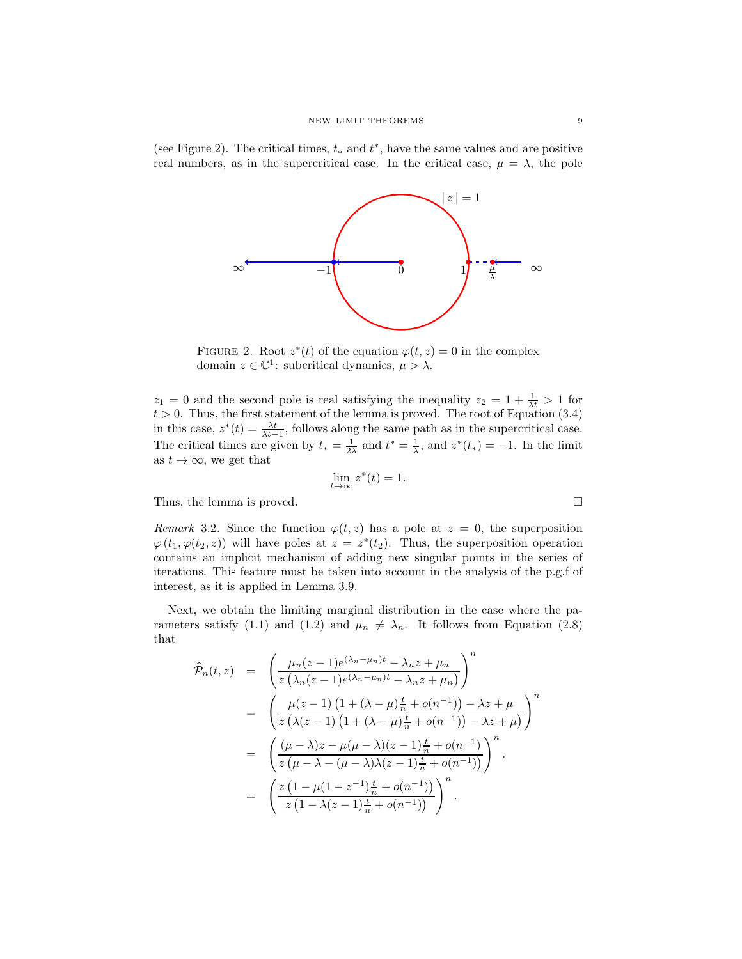(see Figure 2). The critical times,  $t_*$  and  $t^*$ , have the same values and are positive real numbers, as in the supercritical case. In the critical case,  $\mu = \lambda$ , the pole



FIGURE 2. Root  $z^*(t)$  of the equation  $\varphi(t, z) = 0$  in the complex domain  $z \in \mathbb{C}^1$ : subcritical dynamics,  $\mu > \lambda$ .

 $z_1 = 0$  and the second pole is real satisfying the inequality  $z_2 = 1 + \frac{1}{\lambda t} > 1$  for  $t > 0$ . Thus, the first statement of the lemma is proved. The root of Equation (3.4) in this case,  $z^*(t) = \frac{\lambda t}{\lambda t-1}$ , follows along the same path as in the supercritical case. The critical times are given by  $t_* = \frac{1}{2\lambda}$  and  $t^* = \frac{1}{\lambda}$ , and  $z^*(t_*) = -1$ . In the limit as  $t \to \infty$ , we get that

$$
\lim_{t \to \infty} z^*(t) = 1.
$$

Thus, the lemma is proved.

Remark 3.2. Since the function  $\varphi(t, z)$  has a pole at  $z = 0$ , the superposition  $\varphi(t_1,\varphi(t_2,z))$  will have poles at  $z=z^*(t_2)$ . Thus, the superposition operation contains an implicit mechanism of adding new singular points in the series of iterations. This feature must be taken into account in the analysis of the p.g.f of interest, as it is applied in Lemma 3.9.

Next, we obtain the limiting marginal distribution in the case where the parameters satisfy (1.1) and (1.2) and  $\mu_n \neq \lambda_n$ . It follows from Equation (2.8) that

$$
\hat{\mathcal{P}}_n(t,z) = \left(\frac{\mu_n(z-1)e^{(\lambda_n - \mu_n)t} - \lambda_n z + \mu_n}{z(\lambda_n(z-1)e^{(\lambda_n - \mu_n)t} - \lambda_n z + \mu_n)}\right)^n
$$
\n
$$
= \left(\frac{\mu(z-1)\left(1 + (\lambda - \mu)\frac{t}{n} + o(n^{-1})\right) - \lambda z + \mu}{z(\lambda(z-1)\left(1 + (\lambda - \mu)\frac{t}{n} + o(n^{-1})\right) - \lambda z + \mu}\right)^n
$$
\n
$$
= \left(\frac{(\mu - \lambda)z - \mu(\mu - \lambda)(z-1)\frac{t}{n} + o(n^{-1})}{z(\mu - \lambda - (\mu - \lambda)\lambda(z-1)\frac{t}{n} + o(n^{-1}))}\right)^n
$$
\n
$$
= \left(\frac{z(1 - \mu(1 - z^{-1})\frac{t}{n} + o(n^{-1}))}{z(1 - \lambda(z-1)\frac{t}{n} + o(n^{-1}))}\right)^n.
$$

$$
\exists
$$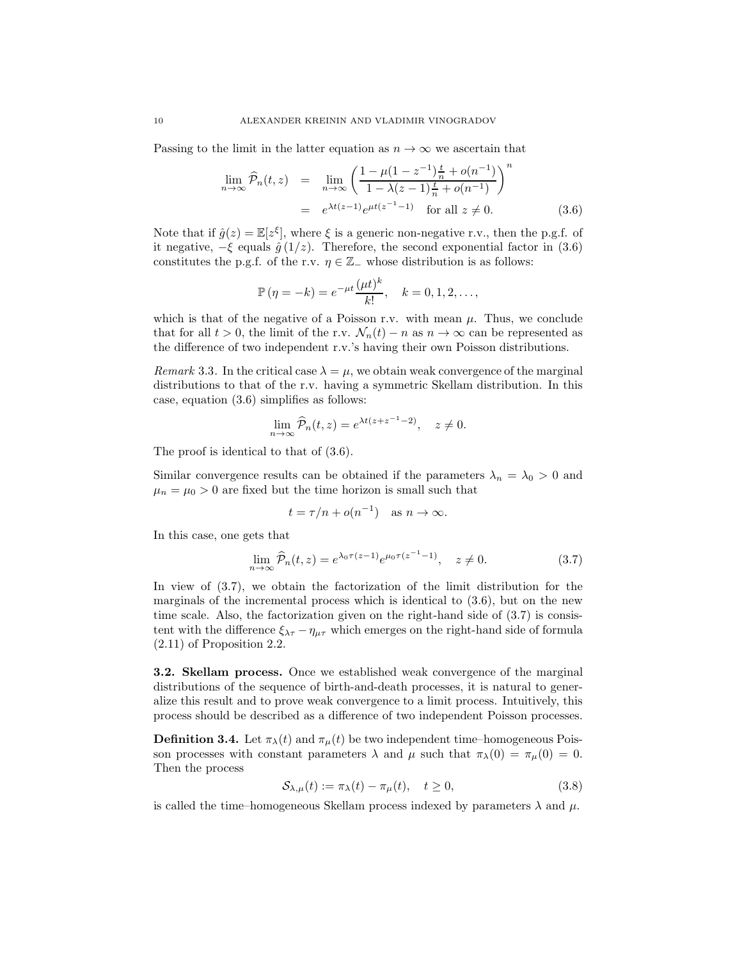Passing to the limit in the latter equation as  $n \to \infty$  we ascertain that

$$
\lim_{n \to \infty} \widehat{\mathcal{P}}_n(t, z) = \lim_{n \to \infty} \left( \frac{1 - \mu (1 - z^{-1}) \frac{t}{n} + o(n^{-1})}{1 - \lambda (z - 1) \frac{t}{n} + o(n^{-1})} \right)^n
$$
  
=  $e^{\lambda t (z - 1)} e^{\mu t (z^{-1} - 1)}$  for all  $z \neq 0$ . (3.6)

Note that if  $\hat{g}(z) = \mathbb{E}[z^{\xi}]$ , where  $\xi$  is a generic non-negative r.v., then the p.g.f. of it negative,  $-\xi$  equals  $\hat{g}(1/z)$ . Therefore, the second exponential factor in (3.6) constitutes the p.g.f. of the r.v.  $\eta \in \mathbb{Z}_-$  whose distribution is as follows:

$$
\mathbb{P}(\eta = -k) = e^{-\mu t} \frac{(\mu t)^k}{k!}, \quad k = 0, 1, 2, \dots,
$$

which is that of the negative of a Poisson r.v. with mean  $\mu$ . Thus, we conclude that for all  $t > 0$ , the limit of the r.v.  $\mathcal{N}_n(t) - n$  as  $n \to \infty$  can be represented as the difference of two independent r.v.'s having their own Poisson distributions.

Remark 3.3. In the critical case  $\lambda = \mu$ , we obtain weak convergence of the marginal distributions to that of the r.v. having a symmetric Skellam distribution. In this case, equation (3.6) simplifies as follows:

$$
\lim_{n \to \infty} \widehat{\mathcal{P}}_n(t, z) = e^{\lambda t (z + z^{-1} - 2)}, \quad z \neq 0.
$$

The proof is identical to that of (3.6).

Similar convergence results can be obtained if the parameters  $\lambda_n = \lambda_0 > 0$  and  $\mu_n = \mu_0 > 0$  are fixed but the time horizon is small such that

$$
t = \tau/n + o(n^{-1}) \quad \text{as } n \to \infty.
$$

In this case, one gets that

$$
\lim_{n \to \infty} \widehat{\mathcal{P}}_n(t, z) = e^{\lambda_0 \tau(z-1)} e^{\mu_0 \tau(z^{-1}-1)}, \quad z \neq 0. \tag{3.7}
$$

In view of (3.7), we obtain the factorization of the limit distribution for the marginals of the incremental process which is identical to (3.6), but on the new time scale. Also, the factorization given on the right-hand side of (3.7) is consistent with the difference  $\xi_{\lambda\tau} - \eta_{\mu\tau}$  which emerges on the right-hand side of formula (2.11) of Proposition 2.2.

3.2. Skellam process. Once we established weak convergence of the marginal distributions of the sequence of birth-and-death processes, it is natural to generalize this result and to prove weak convergence to a limit process. Intuitively, this process should be described as a difference of two independent Poisson processes.

**Definition 3.4.** Let  $\pi_{\lambda}(t)$  and  $\pi_{\mu}(t)$  be two independent time–homogeneous Poisson processes with constant parameters  $\lambda$  and  $\mu$  such that  $\pi_{\lambda}(0) = \pi_{\mu}(0) = 0$ . Then the process

$$
S_{\lambda,\mu}(t) := \pi_{\lambda}(t) - \pi_{\mu}(t), \quad t \ge 0,
$$
\n(3.8)

is called the time–homogeneous Skellam process indexed by parameters  $\lambda$  and  $\mu$ .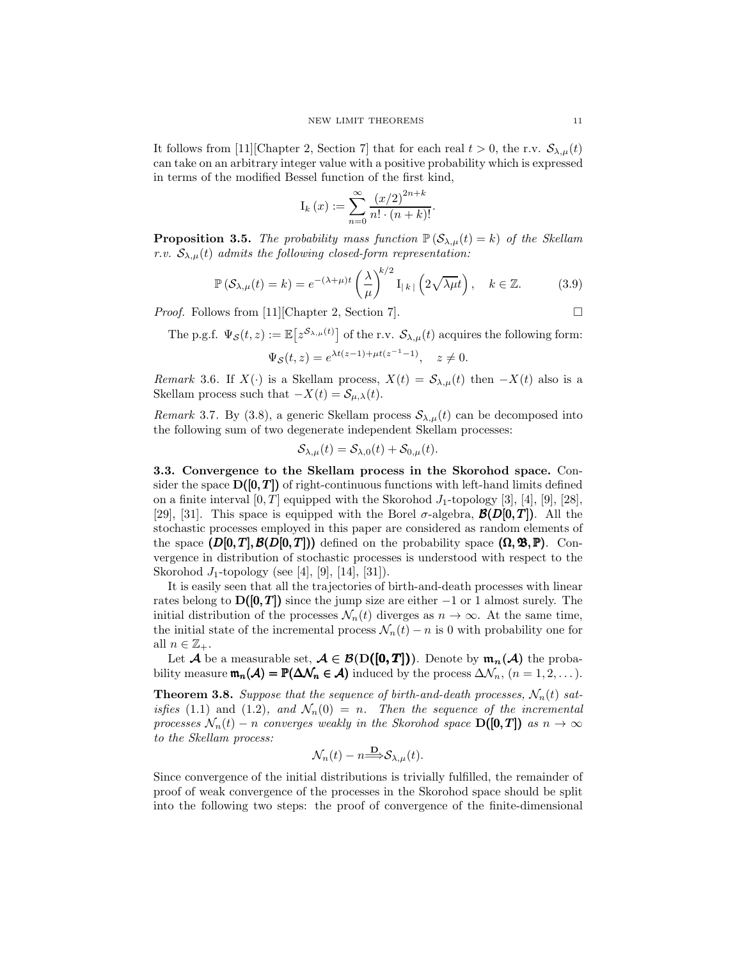It follows from [11][Chapter 2, Section 7] that for each real  $t > 0$ , the r.v.  $\mathcal{S}_{\lambda,\mu}(t)$ can take on an arbitrary integer value with a positive probability which is expressed in terms of the modified Bessel function of the first kind,

$$
I_k(x) := \sum_{n=0}^{\infty} \frac{(x/2)^{2n+k}}{n! \cdot (n+k)!}.
$$

**Proposition 3.5.** The probability mass function  $\mathbb{P}(\mathcal{S}_{\lambda,\mu}(t) = k)$  of the Skellam r.v.  $S_{\lambda,\mu}(t)$  admits the following closed-form representation:

$$
\mathbb{P}\left(\mathcal{S}_{\lambda,\mu}(t)=k\right)=e^{-(\lambda+\mu)t}\left(\frac{\lambda}{\mu}\right)^{k/2}\mathbf{I}_{\vert k\vert}\left(2\sqrt{\lambda\mu}t\right), \quad k\in\mathbb{Z}.\tag{3.9}
$$

*Proof.* Follows from [11][Chapter 2, Section 7].

The p.g.f.  $\Psi_{\mathcal{S}}(t, z) := \mathbb{E}\big[z^{\mathcal{S}_{\lambda,\mu}(t)}\big]$  of the r.v.  $\mathcal{S}_{\lambda,\mu}(t)$  acquires the following form:  $\Psi_{\mathcal{S}}(t, z) = e^{\lambda t(z-1) + \mu t(z^{-1}-1)}, \quad z \neq 0.$ 

Remark 3.6. If  $X(\cdot)$  is a Skellam process,  $X(t) = S_{\lambda,\mu}(t)$  then  $-X(t)$  also is a Skellam process such that  $-X(t) = S_{\mu,\lambda}(t)$ .

Remark 3.7. By (3.8), a generic Skellam process  $\mathcal{S}_{\lambda,\mu}(t)$  can be decomposed into the following sum of two degenerate independent Skellam processes:

$$
\mathcal{S}_{\lambda,\mu}(t) = \mathcal{S}_{\lambda,0}(t) + \mathcal{S}_{0,\mu}(t).
$$

3.3. Convergence to the Skellam process in the Skorohod space. Consider the space  $D([0, T])$  of right-continuous functions with left-hand limits defined on a finite interval  $[0, T]$  equipped with the Skorohod  $J_1$ -topology  $[3]$ ,  $[4]$ ,  $[9]$ ,  $[28]$ , [29], [31]. This space is equipped with the Borel  $\sigma$ -algebra,  $\mathcal{B}(D[0,T])$ . All the stochastic processes employed in this paper are considered as random elements of the space  $(D[0, T], \mathcal{B}(D[0, T]))$  defined on the probability space  $(\Omega, \mathfrak{B}, \mathbb{P})$ . Convergence in distribution of stochastic processes is understood with respect to the Skorohod  $J_1$ -topology (see [4], [9], [14], [31]).

It is easily seen that all the trajectories of birth-and-death processes with linear rates belong to  $D([0, T])$  since the jump size are either  $-1$  or 1 almost surely. The initial distribution of the processes  $\mathcal{N}_n(t)$  diverges as  $n \to \infty$ . At the same time, the initial state of the incremental process  $\mathcal{N}_n(t) - n$  is 0 with probability one for all  $n \in \mathbb{Z}_+$ .

Let A be a measurable set,  $A \in \mathcal{B}(D([0,T]))$ . Denote by  $\mathfrak{m}_n(A)$  the probability measure  $\mathfrak{m}_n(\mathcal{A}) = \mathbb{P}(\Delta \mathcal{N}_n \in \mathcal{A})$  induced by the process  $\Delta \mathcal{N}_n$ ,  $(n = 1, 2, \dots)$ .

**Theorem 3.8.** Suppose that the sequence of birth-and-death processes,  $\mathcal{N}_n(t)$  satisfies (1.1) and (1.2), and  $\mathcal{N}_n(0) = n$ . Then the sequence of the incremental processes  $\mathcal{N}_n(t)$  – n converges weakly in the Skorohod space  $\mathbf{D}([0,T])$  as  $n \to \infty$ to the Skellam process:

$$
\mathcal{N}_n(t) - n \stackrel{\mathbf{D}}{\Longrightarrow} \mathcal{S}_{\lambda,\mu}(t).
$$

Since convergence of the initial distributions is trivially fulfilled, the remainder of proof of weak convergence of the processes in the Skorohod space should be split into the following two steps: the proof of convergence of the finite-dimensional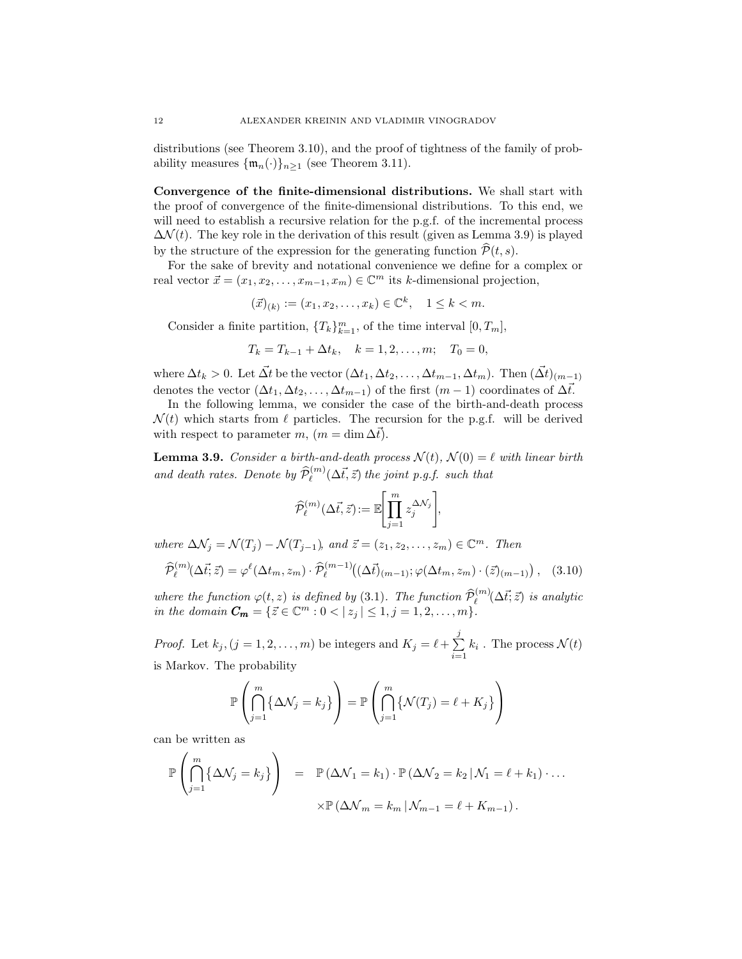distributions (see Theorem 3.10), and the proof of tightness of the family of probability measures  $\{\mathfrak{m}_n(\cdot)\}_{n\geq 1}$  (see Theorem 3.11).

Convergence of the finite-dimensional distributions. We shall start with the proof of convergence of the finite-dimensional distributions. To this end, we will need to establish a recursive relation for the p.g.f. of the incremental process  $\Delta \mathcal{N}(t)$ . The key role in the derivation of this result (given as Lemma 3.9) is played by the structure of the expression for the generating function  $\hat{\mathcal{P}}(t, s)$ .

For the sake of brevity and notational convenience we define for a complex or real vector  $\vec{x} = (x_1, x_2, \dots, x_{m-1}, x_m) \in \mathbb{C}^m$  its k-dimensional projection,

$$
(\vec{x})_{(k)} := (x_1, x_2, \dots, x_k) \in \mathbb{C}^k, \quad 1 \le k < m.
$$

Consider a finite partition,  ${T_k}_{k=1}^m$ , of the time interval  $[0, T_m]$ ,

$$
T_k = T_{k-1} + \Delta t_k, \quad k = 1, 2, \dots, m; \quad T_0 = 0,
$$

where  $\Delta t_k > 0$ . Let  $\vec{\Delta t}$  be the vector  $(\Delta t_1, \Delta t_2, \ldots, \Delta t_{m-1}, \Delta t_m)$ . Then  $(\vec{\Delta t})_{(m-1)}$ denotes the vector  $(\Delta t_1, \Delta t_2, \ldots, \Delta t_{m-1})$  of the first  $(m-1)$  coordinates of  $\Delta t$ .

In the following lemma, we consider the case of the birth-and-death process  $\mathcal{N}(t)$  which starts from  $\ell$  particles. The recursion for the p.g.f. will be derived with respect to parameter m,  $(m = \dim \Delta t)$ .

**Lemma 3.9.** Consider a birth-and-death process  $\mathcal{N}(t)$ ,  $\mathcal{N}(0) = \ell$  with linear birth and death rates. Denote by  $\widehat{\mathcal{P}}_{\ell}^{(m)}(\Delta \vec{t}, \vec{z})$  the joint p.g.f. such that

$$
\widehat{\mathcal{P}}_{\ell}^{(m)}(\Delta \vec{t}, \vec{z}) := \mathbb{E} \Biggl[ \prod_{j=1}^{m} z_j^{\Delta \mathcal{N}_j} \Biggr],
$$

where  $\Delta \mathcal{N}_j = \mathcal{N}(T_j) - \mathcal{N}(T_{j-1})$ , and  $\vec{z} = (z_1, z_2, \dots, z_m) \in \mathbb{C}^m$ . Then

$$
\widehat{\mathcal{P}}_{\ell}^{(m)}(\Delta \vec{t}; \vec{z}) = \varphi^{\ell}(\Delta t_m, z_m) \cdot \widehat{\mathcal{P}}_{\ell}^{(m-1)}((\Delta \vec{t})_{(m-1)}; \varphi(\Delta t_m, z_m) \cdot (\vec{z})_{(m-1)}), \quad (3.10)
$$

where the function  $\varphi(t, z)$  is defined by (3.1). The function  $\widehat{\mathcal{P}}_{\ell}^{(m)}(\Delta \vec{t}; \vec{z})$  is analytic in the domain  $C_m = \{ \vec{z} \in \mathbb{C}^m : 0 < |z_j| \leq 1, j = 1, 2, \ldots, m \}.$ 

*Proof.* Let  $k_j$ ,  $(j = 1, 2, ..., m)$  be integers and  $K_j = \ell + \sum_{j=1}^{j}$  $\sum_{i=1} k_i$ . The process  $\mathcal{N}(t)$ is Markov. The probability

$$
\mathbb{P}\left(\bigcap_{j=1}^{m} \{\Delta \mathcal{N}_j = k_j\}\right) = \mathbb{P}\left(\bigcap_{j=1}^{m} \{\mathcal{N}(T_j) = \ell + K_j\}\right)
$$

can be written as

$$
\mathbb{P}\left(\bigcap_{j=1}^{m} \{\Delta \mathcal{N}_{j} = k_{j}\}\right) = \mathbb{P}\left(\Delta \mathcal{N}_{1} = k_{1}\right) \cdot \mathbb{P}\left(\Delta \mathcal{N}_{2} = k_{2} \,|\, \mathcal{N}_{1} = \ell + k_{1}\right) \cdot \ldots
$$

$$
\times \mathbb{P}\left(\Delta \mathcal{N}_{m} = k_{m} \,|\, \mathcal{N}_{m-1} = \ell + K_{m-1}\right).
$$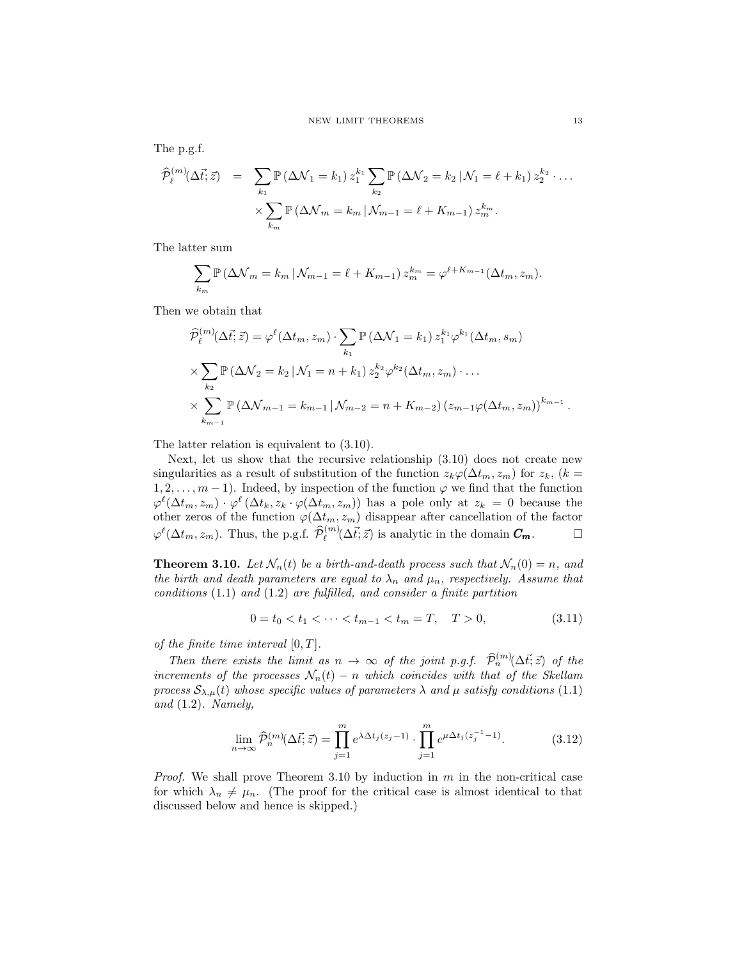The p.g.f.

$$
\widehat{\mathcal{P}}_{\ell}^{(m)}(\Delta \vec{t}; \vec{z}) = \sum_{k_1} \mathbb{P} \left( \Delta \mathcal{N}_1 = k_1 \right) z_1^{k_1} \sum_{k_2} \mathbb{P} \left( \Delta \mathcal{N}_2 = k_2 \, | \, \mathcal{N}_1 = \ell + k_1 \right) z_2^{k_2} \cdot \dots
$$
\n
$$
\times \sum_{k_m} \mathbb{P} \left( \Delta \mathcal{N}_m = k_m \, | \, \mathcal{N}_{m-1} = \ell + K_{m-1} \right) z_m^{k_m}.
$$

The latter sum

$$
\sum_{k_m} \mathbb{P}\left(\Delta \mathcal{N}_m = k_m \,|\, \mathcal{N}_{m-1} = \ell + K_{m-1}\right) z_m^{k_m} = \varphi^{\ell + K_{m-1}}(\Delta t_m, z_m).
$$

Then we obtain that

$$
\widehat{\mathcal{P}}_{\ell}^{(m)}(\Delta \vec{t}; \vec{z}) = \varphi^{\ell}(\Delta t_m, z_m) \cdot \sum_{k_1} \mathbb{P}(\Delta \mathcal{N}_1 = k_1) z_1^{k_1} \varphi^{k_1}(\Delta t_m, s_m)
$$
  
\n
$$
\times \sum_{k_2} \mathbb{P}(\Delta \mathcal{N}_2 = k_2 | \mathcal{N}_1 = n + k_1) z_2^{k_2} \varphi^{k_2}(\Delta t_m, z_m) \cdot \dots
$$
  
\n
$$
\times \sum_{k_{m-1}} \mathbb{P}(\Delta \mathcal{N}_{m-1} = k_{m-1} | \mathcal{N}_{m-2} = n + K_{m-2}) (z_{m-1} \varphi(\Delta t_m, z_m))^{k_{m-1}}
$$

The latter relation is equivalent to (3.10).

Next, let us show that the recursive relationship (3.10) does not create new singularities as a result of substitution of the function  $z_k\varphi(\Delta t_m, z_m)$  for  $z_k$ ,  $(k =$  $1, 2, \ldots, m-1$ ). Indeed, by inspection of the function  $\varphi$  we find that the function  $\varphi^{\ell}(\Delta t_m, z_m) \cdot \varphi^{\ell}(\Delta t_k, z_k \cdot \varphi(\Delta t_m, z_m))$  has a pole only at  $z_k = 0$  because the other zeros of the function  $\varphi(\Delta t_m, z_m)$  disappear after cancellation of the factor  $\varphi^{\ell}(\Delta t_m, z_m)$ . Thus, the p.g.f.  $\widehat{\mathcal{P}}_{\ell}^{(m)}(\Delta \vec{t}; \vec{z})$  is analytic in the domain  $C_m$ .

**Theorem 3.10.** Let  $\mathcal{N}_n(t)$  be a birth-and-death process such that  $\mathcal{N}_n(0) = n$ , and the birth and death parameters are equal to  $\lambda_n$  and  $\mu_n$ , respectively. Assume that conditions (1.1) and (1.2) are fulfilled, and consider a finite partition

$$
0 = t_0 < t_1 < \dots < t_{m-1} < t_m = T, \quad T > 0,\tag{3.11}
$$

of the finite time interval  $[0, T]$ .

Then there exists the limit as  $n \to \infty$  of the joint p.g.f.  $\widehat{P}_n^{(m)}(\Delta \vec{t}; \vec{z})$  of the increments of the processes  $\mathcal{N}_n(t) - n$  which coincides with that of the Skellam process  $S_{\lambda,\mu}(t)$  whose specific values of parameters  $\lambda$  and  $\mu$  satisfy conditions (1.1) and (1.2). Namely,

$$
\lim_{n \to \infty} \widehat{\mathcal{P}}_n^{(m)}(\Delta \vec{t}; \vec{z}) = \prod_{j=1}^m e^{\lambda \Delta t_j (z_j - 1)} \cdot \prod_{j=1}^m e^{\mu \Delta t_j (z_j^{-1} - 1)}.
$$
 (3.12)

*Proof.* We shall prove Theorem 3.10 by induction in  $m$  in the non-critical case for which  $\lambda_n \neq \mu_n$ . (The proof for the critical case is almost identical to that discussed below and hence is skipped.)

.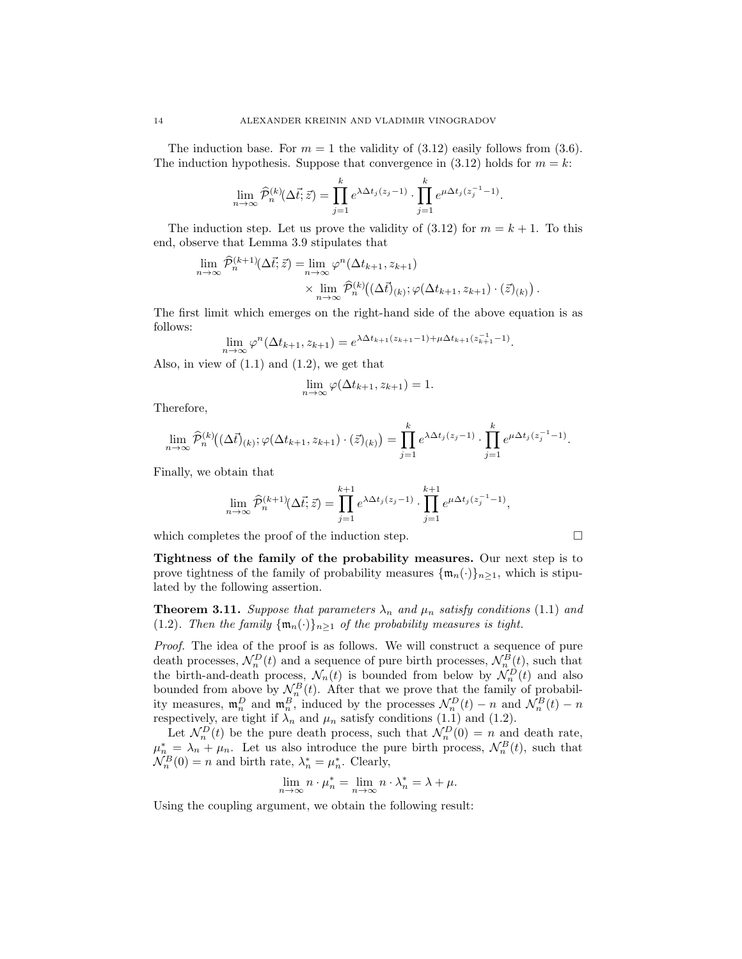The induction base. For  $m = 1$  the validity of  $(3.12)$  easily follows from  $(3.6)$ . The induction hypothesis. Suppose that convergence in  $(3.12)$  holds for  $m = k$ :

$$
\lim_{n\to\infty}\widehat{\mathcal{P}}_n^{(k)}(\Delta \vec{t};\vec{z}) = \prod_{j=1}^k e^{\lambda \Delta t_j(z_j-1)} \cdot \prod_{j=1}^k e^{\mu \Delta t_j(z_j^{-1}-1)}.
$$

The induction step. Let us prove the validity of  $(3.12)$  for  $m = k + 1$ . To this end, observe that Lemma 3.9 stipulates that

$$
\lim_{n \to \infty} \widehat{\mathcal{P}}_n^{(k+1)}(\Delta \vec{t}; \vec{z}) = \lim_{n \to \infty} \varphi^n(\Delta t_{k+1}, z_{k+1}) \times \lim_{n \to \infty} \widehat{\mathcal{P}}_n^{(k)}((\Delta \vec{t})_{(k)}; \varphi(\Delta t_{k+1}, z_{k+1}) \cdot (\vec{z})_{(k)}).
$$

The first limit which emerges on the right-hand side of the above equation is as follows:

$$
\lim_{n \to \infty} \varphi^{n}(\Delta t_{k+1}, z_{k+1}) = e^{\lambda \Delta t_{k+1}(z_{k+1}-1) + \mu \Delta t_{k+1}(z_{k+1}^{-1}-1)}.
$$

Also, in view of  $(1.1)$  and  $(1.2)$ , we get that

$$
\lim_{n \to \infty} \varphi(\Delta t_{k+1}, z_{k+1}) = 1.
$$

Therefore,

$$
\lim_{n\to\infty}\widehat{\mathcal{P}}_n^{(k)}\big((\Delta t)_{(k)};\varphi(\Delta t_{k+1},z_{k+1})\cdot(\vec{z})_{(k)}\big)=\prod_{j=1}^k e^{\lambda \Delta t_j(z_j-1)}\cdot\prod_{j=1}^k e^{\mu \Delta t_j(z_j^{-1}-1)}.
$$

Finally, we obtain that

$$
\lim_{n\to\infty}\widehat{\mathcal{P}}_n^{(k+1)}(\Delta \vec{t};\vec{z}) = \prod_{j=1}^{k+1} e^{\lambda \Delta t_j(z_j-1)} \cdot \prod_{j=1}^{k+1} e^{\mu \Delta t_j(z_j^{-1}-1)},
$$

which completes the proof of the induction step.

Tightness of the family of the probability measures. Our next step is to prove tightness of the family of probability measures  ${\{\mathfrak{m}_n(\cdot)\}}_{n>1}$ , which is stipulated by the following assertion.

**Theorem 3.11.** Suppose that parameters  $\lambda_n$  and  $\mu_n$  satisfy conditions (1.1) and (1.2). Then the family  $\{\mathfrak{m}_n(\cdot)\}_{n\geq 1}$  of the probability measures is tight.

Proof. The idea of the proof is as follows. We will construct a sequence of pure death processes,  $\mathcal{N}_n^D(t)$  and a sequence of pure birth processes,  $\mathcal{N}_n^B(t)$ , such that the birth-and-death process,  $\mathcal{N}_n(t)$  is bounded from below by  $\mathcal{N}_n^D(t)$  and also bounded from above by  $\mathcal{N}_n^B(t)$ . After that we prove that the family of probability measures,  $\mathfrak{m}_n^D$  and  $\mathfrak{m}_n^B$ , induced by the processes  $\mathcal{N}_n^D(t) - n$  and  $\mathcal{N}_n^B(t) - n$ respectively, are tight if  $\lambda_n$  and  $\mu_n$  satisfy conditions (1.1) and (1.2).

Let  $\mathcal{N}_n^D(t)$  be the pure death process, such that  $\mathcal{N}_n^D(0) = n$  and death rate,  $\mu_{n}^* = \lambda_n + \mu_n$ . Let us also introduce the pure birth process,  $\mathcal{N}_n^B(t)$ , such that  $\mathcal{N}_n^B(0) = n$  and birth rate,  $\lambda_n^* = \mu_n^*$ . Clearly,

$$
\lim_{n \to \infty} n \cdot \mu_n^* = \lim_{n \to \infty} n \cdot \lambda_n^* = \lambda + \mu.
$$

Using the coupling argument, we obtain the following result:

$$
\Box
$$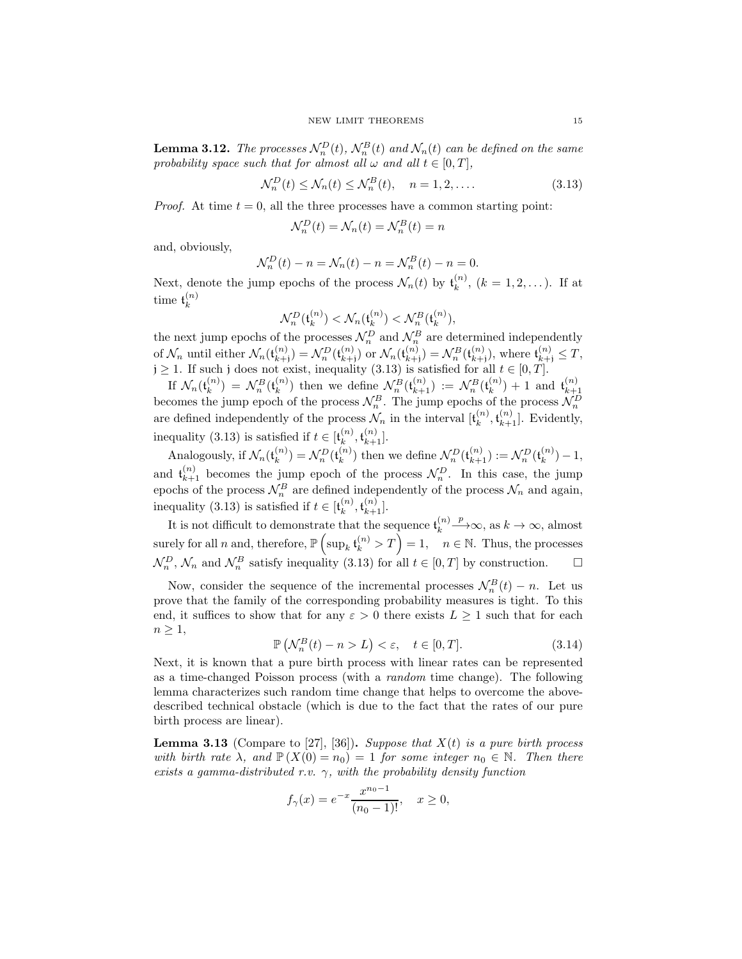**Lemma 3.12.** The processes  $\mathcal{N}_n^D(t)$ ,  $\mathcal{N}_n^B(t)$  and  $\mathcal{N}_n(t)$  can be defined on the same probability space such that for almost all  $\omega$  and all  $t \in [0, T]$ ,

$$
\mathcal{N}_n^D(t) \le \mathcal{N}_n(t) \le \mathcal{N}_n^B(t), \quad n = 1, 2, \dots
$$
\n(3.13)

*Proof.* At time  $t = 0$ , all the three processes have a common starting point:

$$
\mathcal{N}_n^D(t) = \mathcal{N}_n(t) = \mathcal{N}_n^B(t) = n
$$

and, obviously,

$$
\mathcal{N}_n^D(t) - n = \mathcal{N}_n(t) - n = \mathcal{N}_n^B(t) - n = 0.
$$

Next, denote the jump epochs of the process  $\mathcal{N}_n(t)$  by  $\mathfrak{t}_k^{(n)}$  $\binom{n}{k}$ ,  $(k = 1, 2, ...)$ . If at time  $\mathfrak{t}_k^{(n)}$ k

$$
\mathcal{N}_n^D(\mathfrak{t}_k^{(n)}) < \mathcal{N}_n(\mathfrak{t}_k^{(n)}) < \mathcal{N}_n^B(\mathfrak{t}_k^{(n)}),
$$

the next jump epochs of the processes  $\mathcal{N}_n^D$  and  $\mathcal{N}_n^B$  are determined independently of  $\mathcal{N}_n$  until either  $\mathcal{N}_n(\mathfrak{t}_{k+1}^{(n)})$  $\lambda_{k+j}^{(n)})=\mathcal{N}_n^D(\mathfrak{t}_{k+j}^{(n)})$  $\binom{n}{k+j}$  or  $\mathcal{N}_n(\mathfrak{t}_{k+j}^{(n)})$  $\lambda_{k+j}^{(n)})=\mathcal{N}_n^B(\mathfrak{t}_{k+j}^{(n)})$  $\binom{n}{k+j}$ , where  $\mathfrak{t}_{k+j}^{(n)} \leq T$ ,  $j \geq 1$ . If such j does not exist, inequality (3.13) is satisfied for all  $t \in [0, T]$ .

If  $\mathcal{N}_n(\mathfrak{t}_k^{(n)}$  $\binom{n}{k}$  =  $\mathcal{N}_n^B(\mathfrak{t}_k^{(n)})$  $\mathcal{N}_k^{(n)}$ ) then we define  $\mathcal{N}_n^B(\mathfrak{t}_{k+1}^{(n)}) := \mathcal{N}_n^B(\mathfrak{t}_k^{(n)})$  $\binom{n}{k}$  + 1 and  $\mathfrak{t}_{k+}^{(n)}$ becomes the jump epoch of the process  $\mathcal{N}_n^B$ . The jump epochs of the process  $\mathcal{N}_n^D$ are defined independently of the process  $\mathcal{N}_n$  in the interval  $[\mathfrak{t}_k^{(n)}]$  $\mathfrak{t}_{k}^{(n)},\mathfrak{t}_{k+1}^{(n)}$ . Evidently, inequality (3.13) is satisfied if  $t \in [\mathfrak{t}_k^{(n)}]$  $\mathfrak{t}_k^{(n)},\mathfrak{t}_{k+1}^{(n)}].$ 

Analogously, if  $\mathcal{N}_n(\mathfrak{t}_k^{(n)})$  $\binom{n}{k}$  =  $\mathcal{N}_n^D(\mathfrak{t}_k^{(n)})$  $\binom{n}{k}$ ) then we define  $\mathcal{N}_n^D(\mathfrak{t}_{k+1}^{(n)}):=\mathcal{N}_n^D(\mathfrak{t}_{k}^{(n)})$  $\binom{n}{k} - 1,$ and  $\mathfrak{t}_{k+1}^{(n)}$  becomes the jump epoch of the process  $\mathcal{N}_n^D$ . In this case, the jump epochs of the process  $\mathcal{N}_n^B$  are defined independently of the process  $\mathcal{N}_n$  and again, inequality (3.13) is satisfied if  $t \in [\mathfrak{t}_k^{(n)}]$  $\mathfrak{t}_k^{(n)},\mathfrak{t}_{k+1}^{(n)}].$ 

It is not difficult to demonstrate that the sequence  $\mathfrak{t}_k^{(n)}$ k  $\longrightarrow \infty$ , as  $k \to \infty$ , almost surely for all n and, therefore,  $\mathbb{P}\left(\sup_k \mathfrak{t}_k^{(n)} > T\right) = 1$ ,  $n \in \mathbb{N}$ . Thus, the processes  $\mathcal{N}_n^D$ ,  $\mathcal{N}_n$  and  $\mathcal{N}_n^B$  satisfy inequality (3.13) for all  $t \in [0, T]$  by construction.  $\Box$ 

Now, consider the sequence of the incremental processes  $\mathcal{N}_n^B(t) - n$ . Let us prove that the family of the corresponding probability measures is tight. To this end, it suffices to show that for any  $\varepsilon > 0$  there exists  $L \geq 1$  such that for each  $n \geq 1$ ,

$$
\mathbb{P}\left(\mathcal{N}_n^B(t) - n > L\right) < \varepsilon, \quad t \in [0, T].\tag{3.14}
$$

Next, it is known that a pure birth process with linear rates can be represented as a time-changed Poisson process (with a random time change). The following lemma characterizes such random time change that helps to overcome the abovedescribed technical obstacle (which is due to the fact that the rates of our pure birth process are linear).

**Lemma 3.13** (Compare to [27], [36]). Suppose that  $X(t)$  is a pure birth process with birth rate  $\lambda$ , and  $\mathbb{P}(X(0) = n_0) = 1$  for some integer  $n_0 \in \mathbb{N}$ . Then there exists a gamma-distributed r.v.  $\gamma$ , with the probability density function

$$
f_{\gamma}(x) = e^{-x} \frac{x^{n_0 - 1}}{(n_0 - 1)!}, \quad x \ge 0,
$$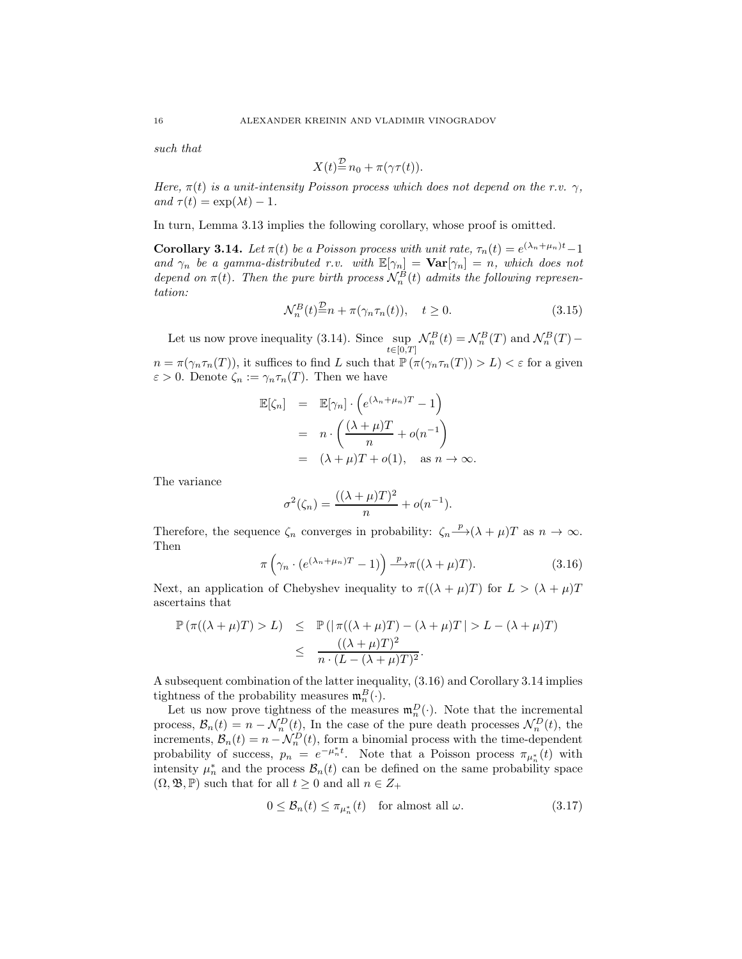such that

$$
X(t) \stackrel{\mathcal{D}}{=} n_0 + \pi(\gamma \tau(t)).
$$

Here,  $\pi(t)$  is a unit-intensity Poisson process which does not depend on the r.v.  $\gamma$ , and  $\tau(t) = \exp(\lambda t) - 1$ .

In turn, Lemma 3.13 implies the following corollary, whose proof is omitted.

**Corollary 3.14.** Let  $\pi(t)$  be a Poisson process with unit rate,  $\tau_n(t) = e^{(\lambda_n + \mu_n)t} - 1$ and  $\gamma_n$  be a gamma-distributed r.v. with  $\mathbb{E}[\gamma_n] = \textbf{Var}[\gamma_n] = n$ , which does not depend on  $\pi(t)$ . Then the pure birth process  $\mathcal{N}_n^B(t)$  admits the following representation:

$$
\mathcal{N}_n^B(t) \stackrel{\mathcal{D}}{=} n + \pi(\gamma_n \tau_n(t)), \quad t \ge 0.
$$
\n(3.15)

Let us now prove inequality  $(3.14)$ . Since sup  $t \in [0,T]$  $\mathcal{N}_n^B(t) = \mathcal{N}_n^B(T)$  and  $\mathcal{N}_n^B(T)$  -

 $n = \pi(\gamma_n \tau_n(T))$ , it suffices to find L such that  $\mathbb{P}(\pi(\gamma_n \tau_n(T)) > L) < \varepsilon$  for a given  $\varepsilon > 0$ . Denote  $\zeta_n := \gamma_n \tau_n(T)$ . Then we have

$$
\mathbb{E}[\zeta_n] = \mathbb{E}[\gamma_n] \cdot \left( e^{(\lambda_n + \mu_n)T} - 1 \right)
$$
  
=  $n \cdot \left( \frac{(\lambda + \mu)T}{n} + o(n^{-1} \right)$   
=  $(\lambda + \mu)T + o(1), \text{ as } n \to \infty.$ 

The variance

$$
\sigma^{2}(\zeta_{n}) = \frac{((\lambda + \mu)T)^{2}}{n} + o(n^{-1}).
$$

Therefore, the sequence  $\zeta_n$  converges in probability:  $\zeta_n \xrightarrow{p} (\lambda + \mu)T$  as  $n \to \infty$ . Then

$$
\pi\left(\gamma_n \cdot (e^{(\lambda_n + \mu_n)T} - 1)\right) \xrightarrow{p} \pi((\lambda + \mu)T). \tag{3.16}
$$

Next, an application of Chebyshev inequality to  $\pi((\lambda + \mu)T)$  for  $L > (\lambda + \mu)T$ ascertains that

$$
\mathbb{P}(\pi((\lambda + \mu)T) > L) \leq \mathbb{P}(|\pi((\lambda + \mu)T) - (\lambda + \mu)T| > L - (\lambda + \mu)T)
$$
  

$$
\leq \frac{((\lambda + \mu)T)^2}{n \cdot (L - (\lambda + \mu)T)^2}.
$$

A subsequent combination of the latter inequality, (3.16) and Corollary 3.14 implies tightness of the probability measures  $\mathfrak{m}_n^B(\cdot)$ .

Let us now prove tightness of the measures  $\mathfrak{m}_n^D(\cdot)$ . Note that the incremental process,  $\mathcal{B}_n(t) = n - \mathcal{N}_n^D(t)$ , In the case of the pure death processes  $\mathcal{N}_n^D(t)$ , the increments,  $\mathcal{B}_n(t) = n - \mathcal{N}_n^D(t)$ , form a binomial process with the time-dependent probability of success,  $p_n = e^{-\mu_n^* t}$ . Note that a Poisson process  $\pi_{\mu_n^*}(t)$  with intensity  $\mu_n^*$  and the process  $\mathcal{B}_n(t)$  can be defined on the same probability space  $(\Omega, \mathfrak{B}, \mathbb{P})$  such that for all  $t \geq 0$  and all  $n \in \mathbb{Z}_+$ 

$$
0 \leq \mathcal{B}_n(t) \leq \pi_{\mu_n^*}(t) \quad \text{for almost all } \omega. \tag{3.17}
$$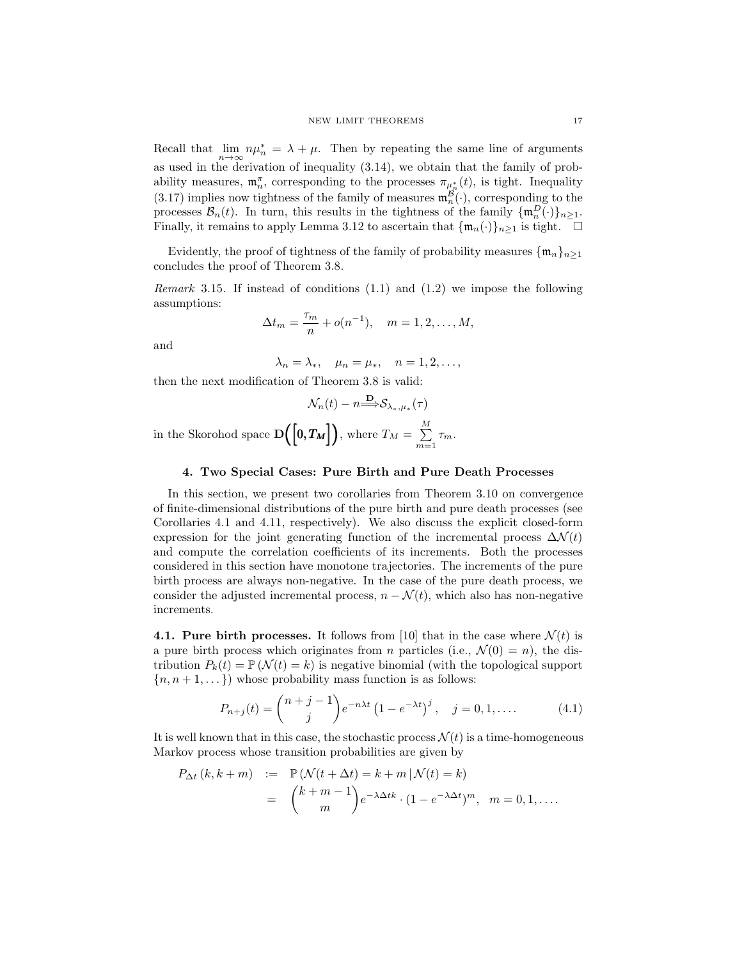Recall that  $\lim_{n\to\infty} n\mu_n^* = \lambda + \mu$ . Then by repeating the same line of arguments as used in the derivation of inequality (3.14), we obtain that the family of probability measures,  $\mathfrak{m}_n^{\pi}$ , corresponding to the processes  $\pi_{\mu_n^*}(t)$ , is tight. Inequality  $(3.17)$  implies now tightness of the family of measures  $\mathfrak{m}_{n}^{\mathcal{B}}(\cdot)$ , corresponding to the processes  $\mathcal{B}_n(t)$ . In turn, this results in the tightness of the family  $\{\mathfrak{m}_n^D(\cdot)\}_{n\geq 1}$ . Finally, it remains to apply Lemma 3.12 to ascertain that  $\{\mathfrak{m}_n(\cdot)\}_{n\geq 1}$  is tight.  $\Box$ 

Evidently, the proof of tightness of the family of probability measures  $\{\mathfrak{m}_n\}_{n>1}$ concludes the proof of Theorem 3.8.

*Remark* 3.15. If instead of conditions  $(1.1)$  and  $(1.2)$  we impose the following assumptions:

$$
\Delta t_m = \frac{\tau_m}{n} + o(n^{-1}), \quad m = 1, 2, \dots, M,
$$

and

$$
\lambda_n = \lambda_*, \quad \mu_n = \mu_*, \quad n = 1, 2, \dots,
$$

then the next modification of Theorem 3.8 is valid:

$$
\mathcal{N}_n(t) - n \stackrel{\mathbf{D}}{\longrightarrow} \mathcal{S}_{\lambda_*,\mu_*}(\tau)
$$

in the Skorohod space  $\mathbf{D}\left(\left[0, T_M\right]\right)$ , where  $T_M = \sum_{i=1}^M T_i$  $\sum_{m=1}$   $\tau_m$ .

#### 4. Two Special Cases: Pure Birth and Pure Death Processes

In this section, we present two corollaries from Theorem 3.10 on convergence of finite-dimensional distributions of the pure birth and pure death processes (see Corollaries 4.1 and 4.11, respectively). We also discuss the explicit closed-form expression for the joint generating function of the incremental process  $\Delta \mathcal{N}(t)$ and compute the correlation coefficients of its increments. Both the processes considered in this section have monotone trajectories. The increments of the pure birth process are always non-negative. In the case of the pure death process, we consider the adjusted incremental process,  $n - \mathcal{N}(t)$ , which also has non-negative increments.

4.1. Pure birth processes. It follows from [10] that in the case where  $\mathcal{N}(t)$  is a pure birth process which originates from n particles (i.e.,  $\mathcal{N}(0) = n$ ), the distribution  $P_k(t) = \mathbb{P}(\mathcal{N}(t) = k)$  is negative binomial (with the topological support  ${n, n+1,...}$ ) whose probability mass function is as follows:

$$
P_{n+j}(t) = {n+j-1 \choose j} e^{-n\lambda t} (1 - e^{-\lambda t})^j, \quad j = 0, 1, .... \tag{4.1}
$$

It is well known that in this case, the stochastic process  $\mathcal{N}(t)$  is a time-homogeneous Markov process whose transition probabilities are given by

$$
P_{\Delta t} (k, k + m) := \mathbb{P} (\mathcal{N}(t + \Delta t) = k + m | \mathcal{N}(t) = k)
$$
  
= 
$$
{k + m - 1 \choose m} e^{-\lambda \Delta t k} \cdot (1 - e^{-\lambda \Delta t})^m, \quad m = 0, 1, ....
$$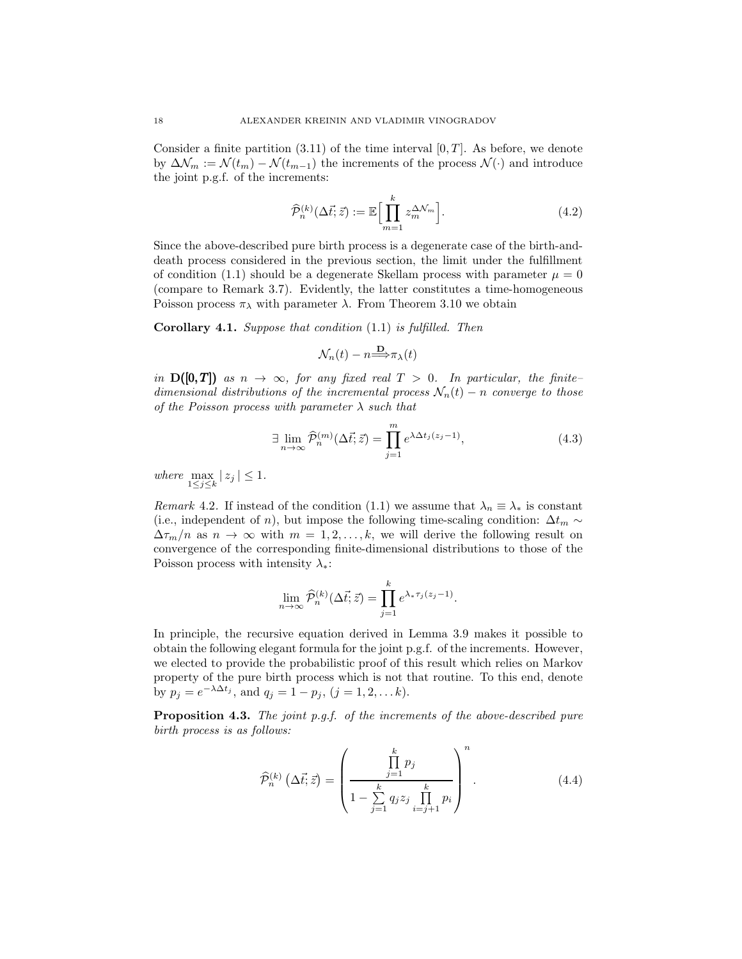Consider a finite partition  $(3.11)$  of the time interval  $[0, T]$ . As before, we denote by  $\Delta \mathcal{N}_m := \mathcal{N}(t_m) - \mathcal{N}(t_{m-1})$  the increments of the process  $\mathcal{N}(\cdot)$  and introduce the joint p.g.f. of the increments:

$$
\widehat{\mathcal{P}}_n^{(k)}(\Delta \vec{t}; \vec{z}) := \mathbb{E} \Big[ \prod_{m=1}^k z_m^{\Delta \mathcal{N}_m} \Big]. \tag{4.2}
$$

Since the above-described pure birth process is a degenerate case of the birth-anddeath process considered in the previous section, the limit under the fulfillment of condition (1.1) should be a degenerate Skellam process with parameter  $\mu = 0$ (compare to Remark 3.7). Evidently, the latter constitutes a time-homogeneous Poisson process  $\pi_{\lambda}$  with parameter  $\lambda$ . From Theorem 3.10 we obtain

Corollary 4.1. Suppose that condition  $(1.1)$  is fulfilled. Then

$$
\mathcal{N}_n(t) - n \stackrel{\mathbf{D}}{\Longrightarrow} \pi_\lambda(t)
$$

in  $D([0,T])$  as  $n \to \infty$ , for any fixed real  $T > 0$ . In particular, the finitedimensional distributions of the incremental process  $\mathcal{N}_n(t) - n$  converge to those of the Poisson process with parameter  $\lambda$  such that

$$
\exists \lim_{n \to \infty} \widehat{\mathcal{P}}_n^{(m)}(\Delta \vec{t}; \vec{z}) = \prod_{j=1}^m e^{\lambda \Delta t_j (z_j - 1)}, \tag{4.3}
$$

where  $\max_{1 \leq j \leq k} |z_j| \leq 1$ .

Remark 4.2. If instead of the condition (1.1) we assume that  $\lambda_n \equiv \lambda_*$  is constant (i.e., independent of n), but impose the following time-scaling condition:  $\Delta t_m \sim$  $\Delta \tau_m/n$  as  $n \to \infty$  with  $m = 1, 2, ..., k$ , we will derive the following result on convergence of the corresponding finite-dimensional distributions to those of the Poisson process with intensity  $\lambda_*$ :

$$
\lim_{n \to \infty} \widehat{\mathcal{P}}_n^{(k)}(\Delta \vec{t}; \vec{z}) = \prod_{j=1}^k e^{\lambda_* \tau_j (z_j - 1)}.
$$

In principle, the recursive equation derived in Lemma 3.9 makes it possible to obtain the following elegant formula for the joint p.g.f. of the increments. However, we elected to provide the probabilistic proof of this result which relies on Markov property of the pure birth process which is not that routine. To this end, denote by  $p_j = e^{-\lambda \Delta t_j}$ , and  $q_j = 1 - p_j$ ,  $(j = 1, 2, ... k)$ .

**Proposition 4.3.** The joint p.g.f. of the increments of the above-described pure birth process is as follows:

$$
\widehat{\mathcal{P}}_n^{(k)}\left(\Delta \vec{t}; \vec{z}\right) = \left(\frac{\prod\limits_{j=1}^k p_j}{1 - \sum\limits_{j=1}^k q_j z_j \prod\limits_{i=j+1}^k p_i}\right)^n.
$$
\n(4.4)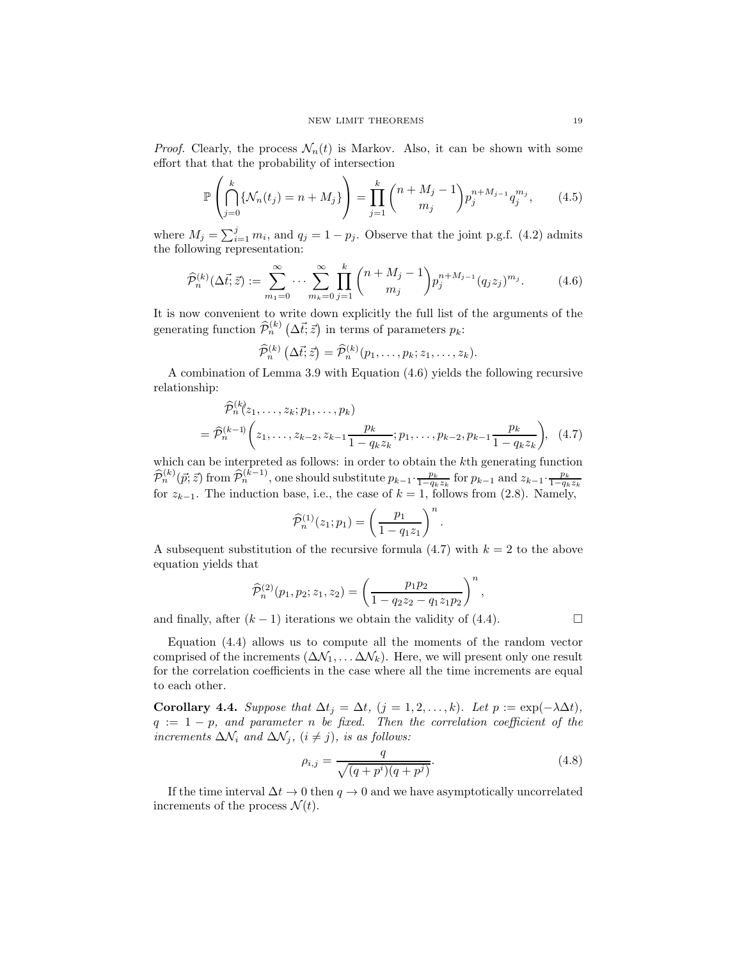*Proof.* Clearly, the process  $\mathcal{N}_n(t)$  is Markov. Also, it can be shown with some effort that that the probability of intersection

$$
\mathbb{P}\left(\bigcap_{j=0}^{k} \{N_n(t_j) = n + M_j\}\right) = \prod_{j=1}^{k} {n + M_j - 1 \choose m_j} p_j^{n + M_{j-1}} q_j^{m_j}, \qquad (4.5)
$$

where  $M_j = \sum_{i=1}^j m_i$ , and  $q_j = 1 - p_j$ . Observe that the joint p.g.f. (4.2) admits the following representation:

$$
\widehat{\mathcal{P}}_n^{(k)}(\Delta \vec{t}; \vec{z}) := \sum_{m_1=0}^{\infty} \cdots \sum_{m_k=0}^{\infty} \prod_{j=1}^k {n+M_j-1 \choose m_j} p_j^{n+M_{j-1}} (q_j z_j)^{m_j}.
$$
 (4.6)

It is now convenient to write down explicitly the full list of the arguments of the generating function  $\hat{\mathcal{P}}_n^{(k)}(\Delta \vec{t}; \vec{z})$  in terms of parameters  $p_k$ :

$$
\widehat{\mathcal{P}}_n^{(k)}\left(\Delta \vec{t}; \vec{z}\right) = \widehat{\mathcal{P}}_n^{(k)}(p_1, \ldots, p_k; z_1, \ldots, z_k).
$$

A combination of Lemma 3.9 with Equation (4.6) yields the following recursive relationship:

$$
\widehat{\mathcal{P}}_n^{(k)}(z_1,\ldots,z_k;p_1,\ldots,p_k) = \widehat{\mathcal{P}}_n^{(k-1)}\left(z_1,\ldots,z_{k-2},z_{k-1}\frac{p_k}{1-q_kz_k};p_1,\ldots,p_{k-2},p_{k-1}\frac{p_k}{1-q_kz_k}\right), (4.7)
$$

which can be interpreted as follows: in order to obtain the kth generating function  $\hat{\mathcal{P}}_n^{(k)}(\vec{p}; \vec{z})$  from  $\hat{\mathcal{P}}_n^{(k-1)}$ , one should substitute  $p_{k-1} \cdot \frac{p_k}{1-q_k z_k}$  for  $p_{k-1}$  and  $z_{k-1} \cdot \frac{p_k}{1-q_k z_k}$  for  $z_{k-1}$ . The induction base, i.e., the case of  $k = 1$ , follows from (2.8). Name

$$
\widehat{\mathcal{P}}_n^{(1)}(z_1; p_1) = \left(\frac{p_1}{1 - q_1 z_1}\right)^n
$$

A subsequent substitution of the recursive formula (4.7) with  $k = 2$  to the above equation yields that

$$
\widehat{\mathcal{P}}_n^{(2)}(p_1, p_2; z_1, z_2) = \left(\frac{p_1 p_2}{1 - q_2 z_2 - q_1 z_1 p_2}\right)^n,
$$

and finally, after  $(k-1)$  iterations we obtain the validity of (4.4).

Equation (4.4) allows us to compute all the moments of the random vector comprised of the increments  $(\Delta \mathcal{N}_1, \ldots, \Delta \mathcal{N}_k)$ . Here, we will present only one result for the correlation coefficients in the case where all the time increments are equal to each other.

Corollary 4.4. Suppose that  $\Delta t_i = \Delta t$ ,  $(j = 1, 2, ..., k)$ . Let  $p := \exp(-\lambda \Delta t)$ ,  $q := 1 - p$ , and parameter n be fixed. Then the correlation coefficient of the increments  $\Delta \mathcal{N}_i$  and  $\Delta \mathcal{N}_j$ ,  $(i \neq j)$ , is as follows:

$$
\rho_{i,j} = \frac{q}{\sqrt{(q+p^i)(q+p^j)}}.
$$
\n(4.8)

.

If the time interval  $\Delta t \to 0$  then  $q \to 0$  and we have asymptotically uncorrelated increments of the process  $\mathcal{N}(t)$ .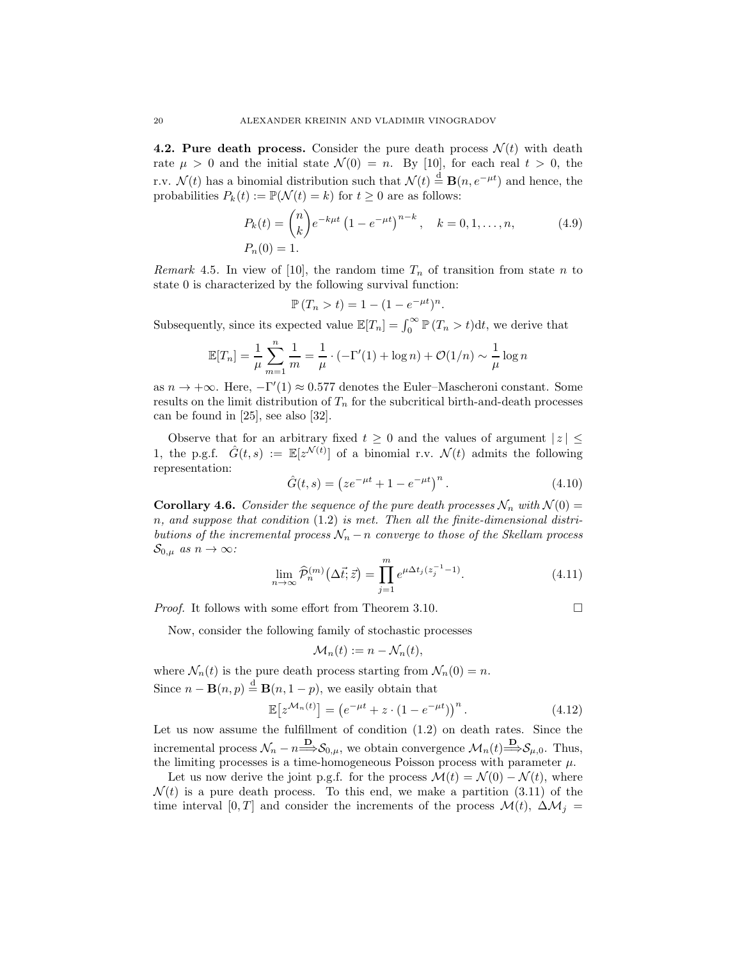4.2. Pure death process. Consider the pure death process  $\mathcal{N}(t)$  with death rate  $\mu > 0$  and the initial state  $\mathcal{N}(0) = n$ . By [10], for each real  $t > 0$ , the r.v.  $\mathcal{N}(t)$  has a binomial distribution such that  $\mathcal{N}(t) \stackrel{d}{=} \mathbf{B}(n, e^{-\mu t})$  and hence, the probabilities  $P_k(t) := \mathbb{P}(\mathcal{N}(t) = k)$  for  $t \geq 0$  are as follows:

$$
P_k(t) = {n \choose k} e^{-k\mu t} \left(1 - e^{-\mu t}\right)^{n-k}, \quad k = 0, 1, ..., n,
$$
 (4.9)  

$$
P_n(0) = 1.
$$

*Remark* 4.5. In view of [10], the random time  $T_n$  of transition from state n to state 0 is characterized by the following survival function:

$$
\mathbb{P}(T_n > t) = 1 - (1 - e^{-\mu t})^n.
$$

Subsequently, since its expected value  $\mathbb{E}[T_n] = \int_0^\infty \mathbb{P}(T_n > t) dt$ , we derive that

$$
\mathbb{E}[T_n] = \frac{1}{\mu} \sum_{m=1}^n \frac{1}{m} = \frac{1}{\mu} \cdot (-\Gamma'(1) + \log n) + \mathcal{O}(1/n) \sim \frac{1}{\mu} \log n
$$

as  $n \to +\infty$ . Here,  $-\Gamma'(1) \approx 0.577$  denotes the Euler–Mascheroni constant. Some results on the limit distribution of  $T_n$  for the subcritical birth-and-death processes can be found in [25], see also [32].

Observe that for an arbitrary fixed  $t \geq 0$  and the values of argument  $|z| \leq$ 1, the p.g.f.  $\hat{G}(t,s) := \mathbb{E}[z^{\mathcal{N}(t)}]$  of a binomial r.v.  $\mathcal{N}(t)$  admits the following representation:

$$
\hat{G}(t,s) = (ze^{-\mu t} + 1 - e^{-\mu t})^n.
$$
\n(4.10)

**Corollary 4.6.** Consider the sequence of the pure death processes  $\mathcal{N}_n$  with  $\mathcal{N}(0)$  = n, and suppose that condition  $(1.2)$  is met. Then all the finite-dimensional distributions of the incremental process  $\mathcal{N}_n$  – n converge to those of the Skellam process  $\mathcal{S}_{0,\mu}$  as  $n \to \infty$ :

$$
\lim_{n \to \infty} \widehat{\mathcal{P}}_n^{(m)}\left(\Delta \vec{t}; \vec{z}\right) = \prod_{j=1}^m e^{\mu \Delta t_j (z_j^{-1} - 1)}.
$$
\n(4.11)

*Proof.* It follows with some effort from Theorem 3.10.

Now, consider the following family of stochastic processes

$$
\mathcal{M}_n(t) := n - \mathcal{N}_n(t),
$$

where  $\mathcal{N}_n(t)$  is the pure death process starting from  $\mathcal{N}_n(0) = n$ . Since  $n - \mathbf{B}(n, p) \stackrel{d}{=} \mathbf{B}(n, 1-p)$ , we easily obtain that

$$
\mathbb{E}\left[z^{\mathcal{M}_n(t)}\right] = \left(e^{-\mu t} + z \cdot (1 - e^{-\mu t})\right)^n. \tag{4.12}
$$

Let us now assume the fulfillment of condition (1.2) on death rates. Since the incremental process  $\mathcal{N}_n - n \stackrel{\mathbf{D}}{\Longrightarrow} \mathcal{S}_{0,\mu}$ , we obtain convergence  $\mathcal{M}_n(t) \stackrel{\mathbf{D}}{\Longrightarrow} \mathcal{S}_{\mu,0}$ . Thus, the limiting processes is a time-homogeneous Poisson process with parameter  $\mu$ .

Let us now derive the joint p.g.f. for the process  $\mathcal{M}(t) = \mathcal{N}(0) - \mathcal{N}(t)$ , where  $\mathcal{N}(t)$  is a pure death process. To this end, we make a partition (3.11) of the time interval [0, T] and consider the increments of the process  $\mathcal{M}(t)$ ,  $\Delta \mathcal{M}_j =$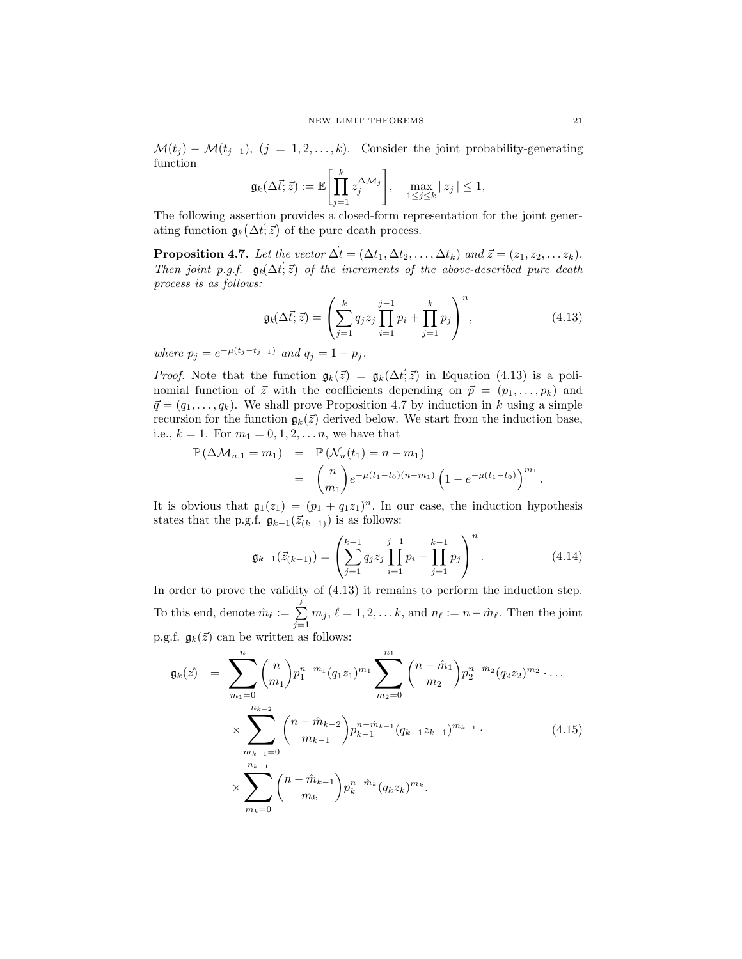$\mathcal{M}(t_i) - \mathcal{M}(t_{i-1}),$   $(j = 1, 2, ..., k)$ . Consider the joint probability-generating function

$$
\mathfrak{g}_k(\Delta \vec{t}; \vec{z}) := \mathbb{E}\left[\prod_{j=1}^k z_j^{\Delta \mathcal{M}_j}\right], \quad \max_{1 \le j \le k} |z_j| \le 1,
$$

The following assertion provides a closed-form representation for the joint generating function  $\mathfrak{g}_k(\Delta \vec{t}; \vec{z})$  of the pure death process.

**Proposition 4.7.** Let the vector  $\vec{\Delta t} = (\Delta t_1, \Delta t_2, \dots, \Delta t_k)$  and  $\vec{z} = (z_1, z_2, \dots z_k)$ . Then joint p.g.f.  $g_k(\Delta \vec{t}; \vec{z})$  of the increments of the above-described pure death process is as follows:

$$
\mathfrak{g}_k(\Delta \vec{t}; \vec{z}) = \left( \sum_{j=1}^k q_j z_j \prod_{i=1}^{j-1} p_i + \prod_{j=1}^k p_j \right)^n, \tag{4.13}
$$

where  $p_j = e^{-\mu(t_j - t_{j-1})}$  and  $q_j = 1 - p_j$ .

*Proof.* Note that the function  $g_k(\vec{z}) = g_k(\Delta \vec{t}; \vec{z})$  in Equation (4.13) is a polinomial function of  $\vec{z}$  with the coefficients depending on  $\vec{p} = (p_1, \ldots, p_k)$  and  $\vec{q} = (q_1, \ldots, q_k)$ . We shall prove Proposition 4.7 by induction in k using a simple recursion for the function  $\mathfrak{g}_k(\vec{z})$  derived below. We start from the induction base, i.e.,  $k = 1$ . For  $m_1 = 0, 1, 2, \ldots n$ , we have that

$$
\mathbb{P}(\Delta \mathcal{M}_{n,1} = m_1) = \mathbb{P}(\mathcal{N}_n(t_1) = n - m_1)
$$
  
=  $\binom{n}{m_1} e^{-\mu(t_1 - t_0)(n - m_1)} \left(1 - e^{-\mu(t_1 - t_0)}\right)^{m_1}$ 

It is obvious that  $\mathfrak{g}_1(z_1) = (p_1 + q_1 z_1)^n$ . In our case, the induction hypothesis states that the p.g.f.  $\mathfrak{g}_{k-1}(\vec{z}_{(k-1)})$  is as follows:

$$
\mathfrak{g}_{k-1}(\vec{z}_{(k-1)}) = \left(\sum_{j=1}^{k-1} q_j z_j \prod_{i=1}^{j-1} p_i + \prod_{j=1}^{k-1} p_j \right)^n.
$$
 (4.14)

In order to prove the validity of (4.13) it remains to perform the induction step. To this end, denote  $\hat{m}_{\ell} := \sum^{\ell}$  $\sum_{j=1}^m m_j, \ell = 1, 2, \dots k$ , and  $n_\ell := n - \hat{m}_\ell$ . Then the joint p.g.f.  $\mathfrak{g}_k(\vec{z})$  can be written as follows:

$$
\mathfrak{g}_{k}(\vec{z}) = \sum_{m_{1}=0}^{n} {n \choose m_{1}} p_{1}^{n-m_{1}} (q_{1}z_{1})^{m_{1}} \sum_{m_{2}=0}^{n_{1}} {n - \hat{m}_{1} \choose m_{2}} p_{2}^{n-\hat{m}_{2}} (q_{2}z_{2})^{m_{2}} \cdots
$$

$$
\times \sum_{m_{k-1}=0}^{n_{k-2}} {n - \hat{m}_{k-2} \choose m_{k-1}} p_{k-1}^{n-\hat{m}_{k-1}} (q_{k-1}z_{k-1})^{m_{k-1}} \cdots
$$

$$
\times \sum_{m_{k}=0}^{n_{k-1}} {n - \hat{m}_{k-1} \choose m_{k}} p_{k}^{n-\hat{m}_{k}} (q_{k}z_{k})^{m_{k}}.
$$
(4.15)

.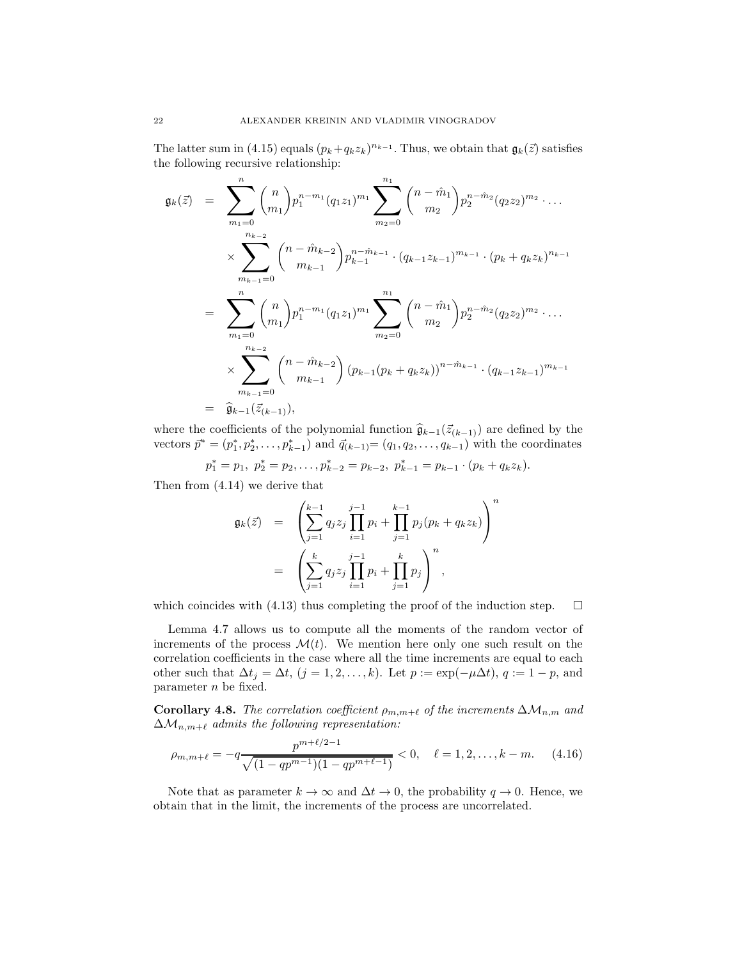The latter sum in (4.15) equals  $(p_k+q_kz_k)^{n_{k-1}}$ . Thus, we obtain that  $\mathfrak{g}_k(\vec{z})$  satisfies the following recursive relationship:

$$
\mathfrak{g}_{k}(\vec{z}) = \sum_{m_{1}=0}^{n} {n \choose m_{1}} p_{1}^{n-m_{1}} (q_{1}z_{1})^{m_{1}} \sum_{m_{2}=0}^{n_{1}} {n-m_{1} \choose m_{2}} p_{2}^{n-m_{2}} (q_{2}z_{2})^{m_{2}} \cdots
$$
  

$$
\times \sum_{m_{k-1}=0}^{n_{k-2}} {n-m_{k-2} \choose m_{k-1}} p_{k-1}^{n-m_{k-1}} \cdot (q_{k-1}z_{k-1})^{m_{k-1}} \cdot (p_{k} + q_{k}z_{k})^{n_{k-1}}
$$
  

$$
= \sum_{m_{1}=0}^{n} {n \choose m_{1}} p_{1}^{n-m_{1}} (q_{1}z_{1})^{m_{1}} \sum_{m_{2}=0}^{n_{1}} {n-m_{1} \choose m_{2}} p_{2}^{n-m_{2}} (q_{2}z_{2})^{m_{2}} \cdots
$$
  

$$
\times \sum_{m_{k-1}=0}^{n_{k-2}} {n-m_{k-2} \choose m_{k-1}} (p_{k-1}(p_{k} + q_{k}z_{k}))^{n-m_{k-1}} \cdot (q_{k-1}z_{k-1})^{m_{k-1}}
$$
  

$$
= \widehat{\mathfrak{g}}_{k-1}(\vec{z}_{(k-1)}),
$$

where the coefficients of the polynomial function  $\hat{\mathfrak{g}}_{k-1}(\vec{z}_{(k-1)})$  are defined by the vectors  $\vec{p}^* = (p_1^*, p_2^*, \ldots, p_{k-1}^*)$  and  $\vec{q}_{(k-1)} = (q_1, q_2, \ldots, q_{k-1})$  with the coordinates

$$
p_1^* = p_1, p_2^* = p_2, \ldots, p_{k-2}^* = p_{k-2}, p_{k-1}^* = p_{k-1} \cdot (p_k + q_k z_k).
$$

Then from (4.14) we derive that

$$
\mathfrak{g}_k(\vec{z}) = \left( \sum_{j=1}^{k-1} q_j z_j \prod_{i=1}^{j-1} p_i + \prod_{j=1}^{k-1} p_j (p_k + q_k z_k) \right)^n
$$

$$
= \left( \sum_{j=1}^k q_j z_j \prod_{i=1}^{j-1} p_i + \prod_{j=1}^k p_j \right)^n,
$$

which coincides with (4.13) thus completing the proof of the induction step.  $\Box$ 

Lemma 4.7 allows us to compute all the moments of the random vector of increments of the process  $\mathcal{M}(t)$ . We mention here only one such result on the correlation coefficients in the case where all the time increments are equal to each other such that  $\Delta t_j = \Delta t$ ,  $(j = 1, 2, ..., k)$ . Let  $p := \exp(-\mu \Delta t)$ ,  $q := 1 - p$ , and parameter n be fixed.

**Corollary 4.8.** The correlation coefficient  $\rho_{m,m+\ell}$  of the increments  $\Delta \mathcal{M}_{n,m}$  and  $\Delta \mathcal{M}_{n,m+\ell}$  admits the following representation:

$$
\rho_{m,m+\ell} = -q \frac{p^{m+\ell/2-1}}{\sqrt{(1-qp^{m-1})(1-qp^{m+\ell-1})}} < 0, \quad \ell = 1, 2, \dots, k-m. \tag{4.16}
$$

Note that as parameter  $k \to \infty$  and  $\Delta t \to 0$ , the probability  $q \to 0$ . Hence, we obtain that in the limit, the increments of the process are uncorrelated.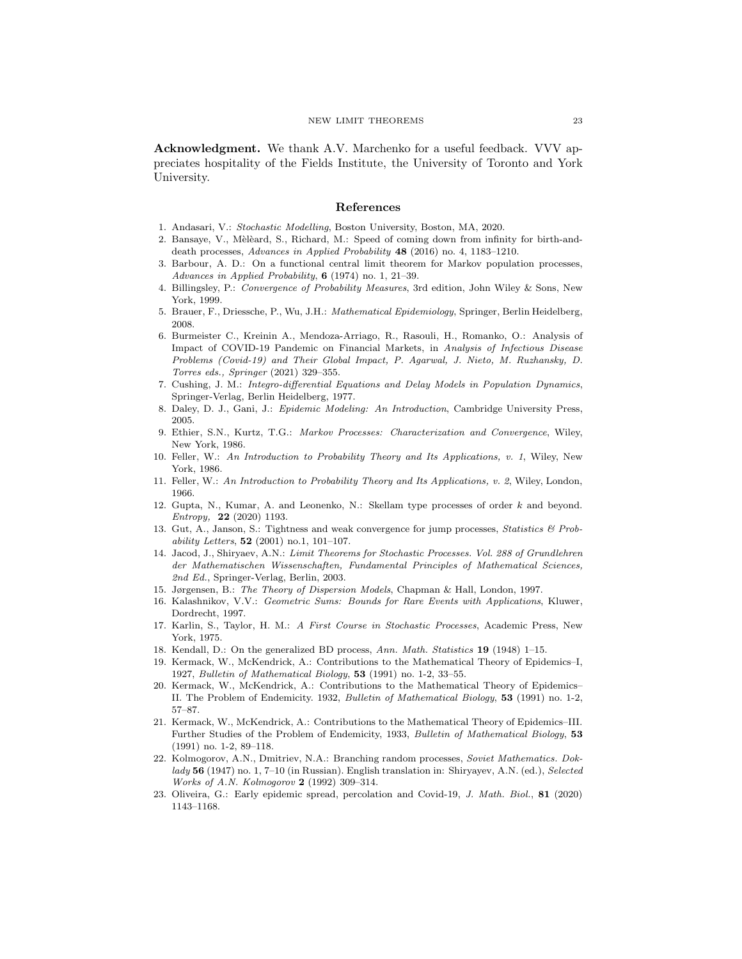Acknowledgment. We thank A.V. Marchenko for a useful feedback. VVV appreciates hospitality of the Fields Institute, the University of Toronto and York University.

#### References

- 1. Andasari, V.: Stochastic Modelling, Boston University, Boston, MA, 2020.
- 2. Bansaye, V., Mèlèard, S., Richard, M.: Speed of coming down from infinity for birth-anddeath processes, Advances in Applied Probability 48 (2016) no. 4, 1183–1210.
- 3. Barbour, A. D.: On a functional central limit theorem for Markov population processes, Advances in Applied Probability,  $6(1974)$  no. 1, 21–39.
- 4. Billingsley, P.: Convergence of Probability Measures, 3rd edition, John Wiley & Sons, New York, 1999.
- 5. Brauer, F., Driessche, P., Wu, J.H.: Mathematical Epidemiology, Springer, Berlin Heidelberg, 2008.
- 6. Burmeister C., Kreinin A., Mendoza-Arriago, R., Rasouli, H., Romanko, O.: Analysis of Impact of COVID-19 Pandemic on Financial Markets, in Analysis of Infectious Disease Problems (Covid-19) and Their Global Impact, P. Agarwal, J. Nieto, M. Ruzhansky, D. Torres eds., Springer (2021) 329–355.
- 7. Cushing, J. M.: Integro-differential Equations and Delay Models in Population Dynamics, Springer-Verlag, Berlin Heidelberg, 1977.
- 8. Daley, D. J., Gani, J.: Epidemic Modeling: An Introduction, Cambridge University Press, 2005.
- 9. Ethier, S.N., Kurtz, T.G.: Markov Processes: Characterization and Convergence, Wiley, New York, 1986.
- 10. Feller, W.: An Introduction to Probability Theory and Its Applications, v. 1, Wiley, New York, 1986.
- 11. Feller, W.: An Introduction to Probability Theory and Its Applications, v. 2, Wiley, London, 1966.
- 12. Gupta, N., Kumar, A. and Leonenko, N.: Skellam type processes of order k and beyond. Entropy, 22 (2020) 1193.
- 13. Gut, A., Janson, S.: Tightness and weak convergence for jump processes, *Statistics & Probability Letters*,  $52$  (2001) no.1, 101-107.
- 14. Jacod, J., Shiryaev, A.N.: Limit Theorems for Stochastic Processes. Vol. 288 of Grundlehren der Mathematischen Wissenschaften, Fundamental Principles of Mathematical Sciences, 2nd Ed., Springer-Verlag, Berlin, 2003.
- 15. Jørgensen, B.: The Theory of Dispersion Models, Chapman & Hall, London, 1997.
- 16. Kalashnikov, V.V.: Geometric Sums: Bounds for Rare Events with Applications, Kluwer, Dordrecht, 1997.
- 17. Karlin, S., Taylor, H. M.: A First Course in Stochastic Processes, Academic Press, New York, 1975.
- 18. Kendall, D.: On the generalized BD process, Ann. Math. Statistics 19 (1948) 1–15.
- 19. Kermack, W., McKendrick, A.: Contributions to the Mathematical Theory of Epidemics–I, 1927, Bulletin of Mathematical Biology, 53 (1991) no. 1-2, 33–55.
- 20. Kermack, W., McKendrick, A.: Contributions to the Mathematical Theory of Epidemics– II. The Problem of Endemicity. 1932, Bulletin of Mathematical Biology, 53 (1991) no. 1-2, 57–87.
- 21. Kermack, W., McKendrick, A.: Contributions to the Mathematical Theory of Epidemics–III. Further Studies of the Problem of Endemicity, 1933, Bulletin of Mathematical Biology, 53 (1991) no. 1-2, 89–118.
- 22. Kolmogorov, A.N., Dmitriev, N.A.: Branching random processes, Soviet Mathematics. Doklady 56 (1947) no. 1, 7–10 (in Russian). English translation in: Shiryayev, A.N. (ed.), Selected Works of A.N. Kolmogorov 2 (1992) 309–314.
- 23. Oliveira, G.: Early epidemic spread, percolation and Covid-19, J. Math. Biol., 81 (2020) 1143–1168.